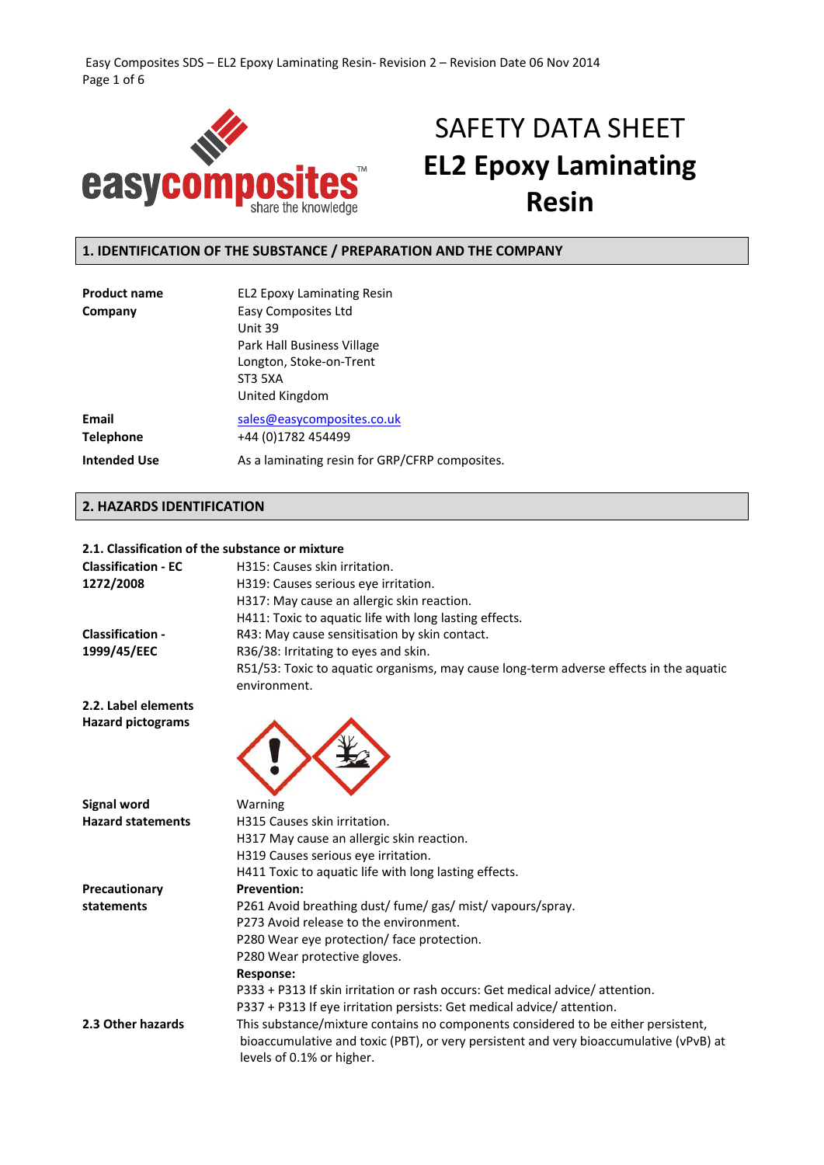Easy Composites SDS – EL2 Epoxy Laminating Resin‐ Revision 2 – Revision Date 06 Nov 2014 Page 1 of 6



# SAFETY DATA SHEET **EL2 Epoxy Laminating Resin**

# **1. IDENTIFICATION OF THE SUBSTANCE / PREPARATION AND THE COMPANY**

| <b>Product name</b>       | <b>EL2 Epoxy Laminating Resin</b>                                                                                    |
|---------------------------|----------------------------------------------------------------------------------------------------------------------|
| Company                   | Easy Composites Ltd<br>Unit 39<br>Park Hall Business Village<br>Longton, Stoke-on-Trent<br>ST3 5XA<br>United Kingdom |
| Email<br><b>Telephone</b> | sales@easycomposites.co.uk<br>+44 (0)1782 454499                                                                     |
| <b>Intended Use</b>       | As a laminating resin for GRP/CFRP composites.                                                                       |

### **2. HAZARDS IDENTIFICATION**

### **2.1. Classification of the substance or mixture**

| <b>Classification - EC</b><br>1272/2008         | H315: Causes skin irritation.<br>H319: Causes serious eye irritation.<br>H317: May cause an allergic skin reaction.<br>H411: Toxic to aquatic life with long lasting effects.                            |
|-------------------------------------------------|----------------------------------------------------------------------------------------------------------------------------------------------------------------------------------------------------------|
| <b>Classification -</b>                         | R43: May cause sensitisation by skin contact.                                                                                                                                                            |
| 1999/45/EEC                                     | R36/38: Irritating to eyes and skin.                                                                                                                                                                     |
|                                                 | R51/53: Toxic to aquatic organisms, may cause long-term adverse effects in the aquatic                                                                                                                   |
|                                                 | environment.                                                                                                                                                                                             |
| 2.2. Label elements<br><b>Hazard pictograms</b> |                                                                                                                                                                                                          |
| <b>Signal word</b>                              | Warning                                                                                                                                                                                                  |
| <b>Hazard statements</b>                        | H315 Causes skin irritation.                                                                                                                                                                             |
|                                                 | H317 May cause an allergic skin reaction.                                                                                                                                                                |
|                                                 | H319 Causes serious eye irritation.                                                                                                                                                                      |
|                                                 | H411 Toxic to aquatic life with long lasting effects.                                                                                                                                                    |
| Precautionary                                   | <b>Prevention:</b>                                                                                                                                                                                       |
| statements                                      | P261 Avoid breathing dust/ fume/ gas/ mist/ vapours/spray.                                                                                                                                               |
|                                                 | P273 Avoid release to the environment.                                                                                                                                                                   |
|                                                 | P280 Wear eye protection/ face protection.                                                                                                                                                               |
|                                                 | P280 Wear protective gloves.                                                                                                                                                                             |
|                                                 | Response:                                                                                                                                                                                                |
|                                                 | P333 + P313 If skin irritation or rash occurs: Get medical advice/attention.                                                                                                                             |
|                                                 | P337 + P313 If eye irritation persists: Get medical advice/attention.                                                                                                                                    |
| 2.3 Other hazards                               | This substance/mixture contains no components considered to be either persistent,<br>bioaccumulative and toxic (PBT), or very persistent and very bioaccumulative (vPvB) at<br>levels of 0.1% or higher. |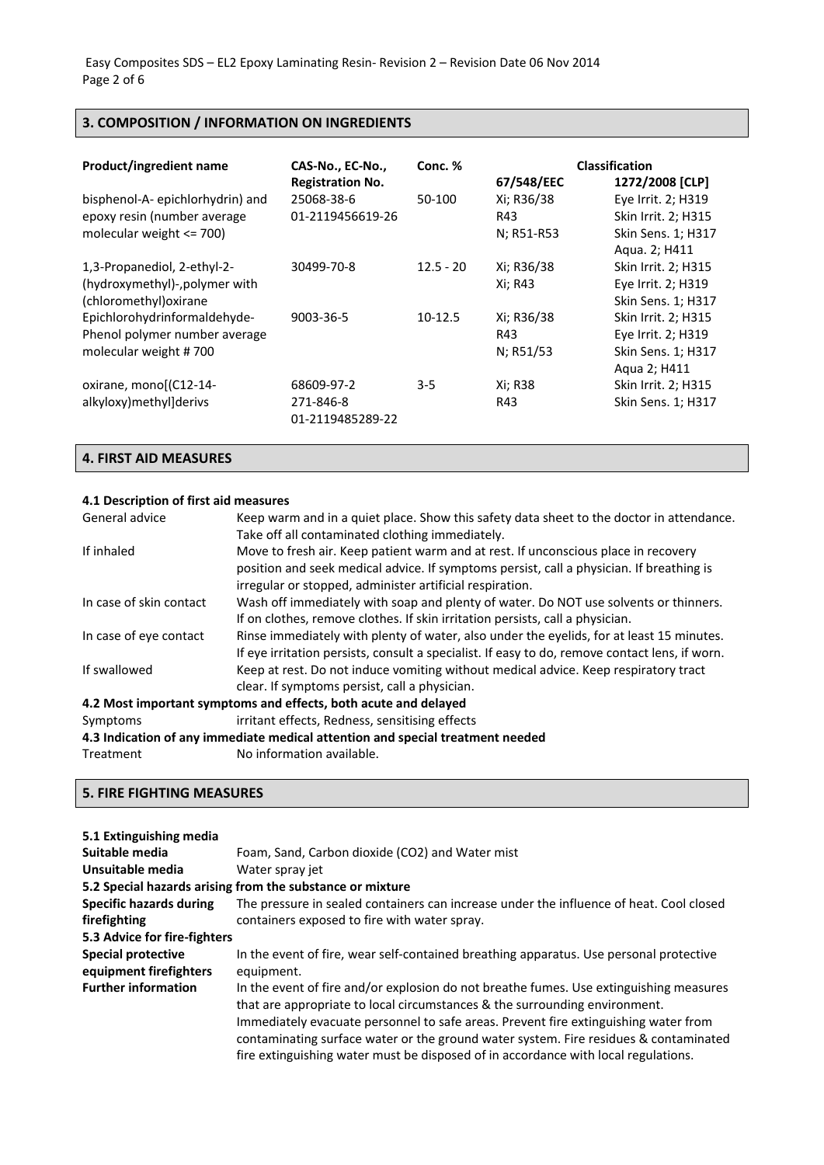## **3. COMPOSITION / INFORMATION ON INGREDIENTS**

| Product/ingredient name                                                                        | CAS-No., EC-No.,<br><b>Registration No.</b> | Conc. %     | 67/548/EEC                      | <b>Classification</b><br>1272/2008 [CLP]                                         |
|------------------------------------------------------------------------------------------------|---------------------------------------------|-------------|---------------------------------|----------------------------------------------------------------------------------|
| bisphenol-A-epichlorhydrin) and<br>epoxy resin (number average<br>molecular weight $\leq$ 700) | 25068-38-6<br>01-2119456619-26              | 50-100      | Xi; R36/38<br>R43<br>N; R51-R53 | Eye Irrit. 2; H319<br>Skin Irrit. 2; H315<br>Skin Sens. 1; H317<br>Aqua. 2; H411 |
| 1,3-Propanediol, 2-ethyl-2-<br>(hydroxymethyl)-, polymer with<br>(chloromethyl) oxirane        | 30499-70-8                                  | $12.5 - 20$ | Xi; R36/38<br>Xi; R43           | Skin Irrit. 2; H315<br>Eye Irrit. 2; H319<br>Skin Sens. 1; H317                  |
| Epichlorohydrinformaldehyde-<br>Phenol polymer number average<br>molecular weight #700         | 9003-36-5                                   | $10-12.5$   | Xi; R36/38<br>R43<br>N; R51/53  | Skin Irrit. 2; H315<br>Eye Irrit. 2; H319<br>Skin Sens. 1; H317<br>Aqua 2; H411  |
| oxirane, monol(C12-14-<br>alkyloxy)methyl]derivs                                               | 68609-97-2<br>271-846-8<br>01-2119485289-22 | $3 - 5$     | Xi; R38<br>R43                  | Skin Irrit. 2; H315<br>Skin Sens. 1; H317                                        |

### **4. FIRST AID MEASURES**

### **4.1 Description of first aid measures**

| General advice          | Keep warm and in a quiet place. Show this safety data sheet to the doctor in attendance.       |
|-------------------------|------------------------------------------------------------------------------------------------|
|                         | Take off all contaminated clothing immediately.                                                |
| If inhaled              | Move to fresh air. Keep patient warm and at rest. If unconscious place in recovery             |
|                         | position and seek medical advice. If symptoms persist, call a physician. If breathing is       |
|                         | irregular or stopped, administer artificial respiration.                                       |
| In case of skin contact | Wash off immediately with soap and plenty of water. Do NOT use solvents or thinners.           |
|                         | If on clothes, remove clothes. If skin irritation persists, call a physician.                  |
| In case of eye contact  | Rinse immediately with plenty of water, also under the eyelids, for at least 15 minutes.       |
|                         | If eye irritation persists, consult a specialist. If easy to do, remove contact lens, if worn. |
| If swallowed            | Keep at rest. Do not induce vomiting without medical advice. Keep respiratory tract            |
|                         | clear. If symptoms persist, call a physician.                                                  |
|                         | 4.2 Most important symptoms and effects, both acute and delayed                                |
| Symptoms                | irritant effects, Redness, sensitising effects                                                 |
|                         | 4.3 Indication of any immediate medical attention and special treatment needed                 |
| Treatment               | No information available.                                                                      |

# **5. FIRE FIGHTING MEASURES**

| 5.1 Extinguishing media                             |                                                                                                                                                                                                                                                                                                                                                                                                                                           |
|-----------------------------------------------------|-------------------------------------------------------------------------------------------------------------------------------------------------------------------------------------------------------------------------------------------------------------------------------------------------------------------------------------------------------------------------------------------------------------------------------------------|
| Suitable media                                      | Foam, Sand, Carbon dioxide (CO2) and Water mist                                                                                                                                                                                                                                                                                                                                                                                           |
| Unsuitable media                                    | Water spray jet                                                                                                                                                                                                                                                                                                                                                                                                                           |
|                                                     | 5.2 Special hazards arising from the substance or mixture                                                                                                                                                                                                                                                                                                                                                                                 |
| <b>Specific hazards during</b>                      | The pressure in sealed containers can increase under the influence of heat. Cool closed                                                                                                                                                                                                                                                                                                                                                   |
| firefighting                                        | containers exposed to fire with water spray.                                                                                                                                                                                                                                                                                                                                                                                              |
| 5.3 Advice for fire-fighters                        |                                                                                                                                                                                                                                                                                                                                                                                                                                           |
| <b>Special protective</b><br>equipment firefighters | In the event of fire, wear self-contained breathing apparatus. Use personal protective<br>equipment.                                                                                                                                                                                                                                                                                                                                      |
| <b>Further information</b>                          | In the event of fire and/or explosion do not breathe fumes. Use extinguishing measures<br>that are appropriate to local circumstances & the surrounding environment.<br>Immediately evacuate personnel to safe areas. Prevent fire extinguishing water from<br>contaminating surface water or the ground water system. Fire residues & contaminated<br>fire extinguishing water must be disposed of in accordance with local regulations. |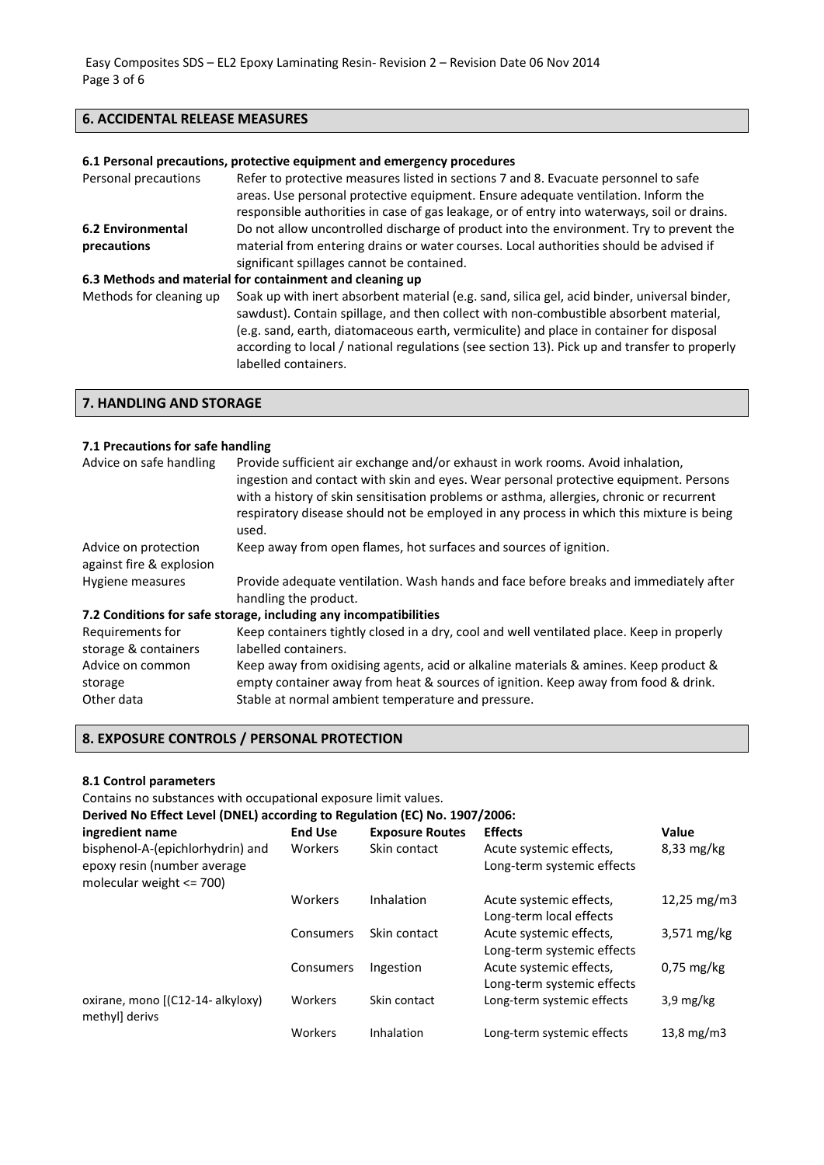# **6. ACCIDENTAL RELEASE MEASURES**

|                                         | 6.1 Personal precautions, protective equipment and emergency procedures                                                                                                                                                                                                                                                                                                                                  |
|-----------------------------------------|----------------------------------------------------------------------------------------------------------------------------------------------------------------------------------------------------------------------------------------------------------------------------------------------------------------------------------------------------------------------------------------------------------|
| Personal precautions                    | Refer to protective measures listed in sections 7 and 8. Evacuate personnel to safe<br>areas. Use personal protective equipment. Ensure adequate ventilation. Inform the<br>responsible authorities in case of gas leakage, or of entry into waterways, soil or drains.                                                                                                                                  |
| <b>6.2 Environmental</b><br>precautions | Do not allow uncontrolled discharge of product into the environment. Try to prevent the<br>material from entering drains or water courses. Local authorities should be advised if<br>significant spillages cannot be contained.                                                                                                                                                                          |
|                                         | 6.3 Methods and material for containment and cleaning up                                                                                                                                                                                                                                                                                                                                                 |
| Methods for cleaning up                 | Soak up with inert absorbent material (e.g. sand, silica gel, acid binder, universal binder,<br>sawdust). Contain spillage, and then collect with non-combustible absorbent material,<br>(e.g. sand, earth, diatomaceous earth, vermiculite) and place in container for disposal<br>according to local / national regulations (see section 13). Pick up and transfer to properly<br>labelled containers. |

**7. HANDLING AND STORAGE**

### **7.1 Precautions for safe handling**

| Advice on safe handling                          | Provide sufficient air exchange and/or exhaust in work rooms. Avoid inhalation,<br>ingestion and contact with skin and eyes. Wear personal protective equipment. Persons<br>with a history of skin sensitisation problems or asthma, allergies, chronic or recurrent<br>respiratory disease should not be employed in any process in which this mixture is being<br>used. |
|--------------------------------------------------|---------------------------------------------------------------------------------------------------------------------------------------------------------------------------------------------------------------------------------------------------------------------------------------------------------------------------------------------------------------------------|
| Advice on protection<br>against fire & explosion | Keep away from open flames, hot surfaces and sources of ignition.                                                                                                                                                                                                                                                                                                         |
| Hygiene measures                                 | Provide adequate ventilation. Wash hands and face before breaks and immediately after                                                                                                                                                                                                                                                                                     |
|                                                  | handling the product.                                                                                                                                                                                                                                                                                                                                                     |
|                                                  | 7.2 Conditions for safe storage, including any incompatibilities                                                                                                                                                                                                                                                                                                          |
| Requirements for                                 | Keep containers tightly closed in a dry, cool and well ventilated place. Keep in properly                                                                                                                                                                                                                                                                                 |
| storage & containers                             | labelled containers.                                                                                                                                                                                                                                                                                                                                                      |
| Advice on common                                 | Keep away from oxidising agents, acid or alkaline materials & amines. Keep product &                                                                                                                                                                                                                                                                                      |
| storage                                          | empty container away from heat & sources of ignition. Keep away from food & drink.                                                                                                                                                                                                                                                                                        |
| Other data                                       | Stable at normal ambient temperature and pressure.                                                                                                                                                                                                                                                                                                                        |

# **8. EXPOSURE CONTROLS / PERSONAL PROTECTION**

### **8.1 Control parameters**

Contains no substances with occupational exposure limit values.

| Derived No Effect Level (DNEL) according to Regulation (EC) No. 1907/2006: |
|----------------------------------------------------------------------------|
|----------------------------------------------------------------------------|

| ingredient name                                                                                 | <b>End Use</b> | <b>Exposure Routes</b> | <b>Effects</b>                                        | Value                 |
|-------------------------------------------------------------------------------------------------|----------------|------------------------|-------------------------------------------------------|-----------------------|
| bisphenol-A-(epichlorhydrin) and<br>epoxy resin (number average<br>molecular weight $\leq$ 700) | Workers        | Skin contact           | Acute systemic effects,<br>Long-term systemic effects | $8,33$ mg/kg          |
|                                                                                                 | Workers        | Inhalation             | Acute systemic effects,<br>Long-term local effects    | 12,25 mg/m3           |
|                                                                                                 | Consumers      | Skin contact           | Acute systemic effects,<br>Long-term systemic effects | $3,571 \text{ mg/kg}$ |
|                                                                                                 | Consumers      | Ingestion              | Acute systemic effects,<br>Long-term systemic effects | $0.75$ mg/kg          |
| oxirane, mono [(C12-14- alkyloxy)<br>methyll derivs                                             | Workers        | Skin contact           | Long-term systemic effects                            | $3.9 \text{ mg/kg}$   |
|                                                                                                 | Workers        | Inhalation             | Long-term systemic effects                            | 13,8 $mg/m3$          |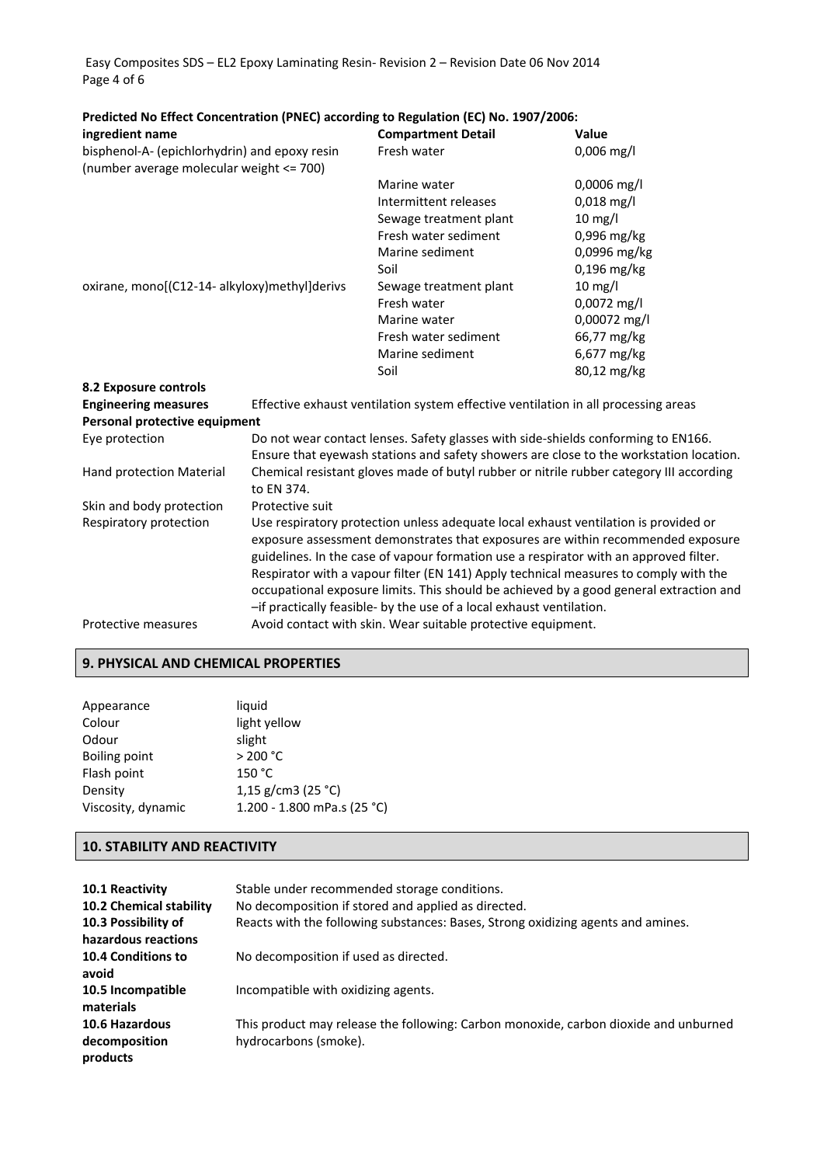Easy Composites SDS – EL2 Epoxy Laminating Resin‐ Revision 2 – Revision Date 06 Nov 2014 Page 4 of 6

| ingredient name                               |                                                                                        | <b>Compartment Detail</b>                                                           | Value                                                                                   |  |
|-----------------------------------------------|----------------------------------------------------------------------------------------|-------------------------------------------------------------------------------------|-----------------------------------------------------------------------------------------|--|
| bisphenol-A- (epichlorhydrin) and epoxy resin |                                                                                        | Fresh water                                                                         | $0,006$ mg/l                                                                            |  |
| (number average molecular weight <= 700)      |                                                                                        |                                                                                     |                                                                                         |  |
|                                               |                                                                                        | Marine water                                                                        | 0,0006 mg/l                                                                             |  |
|                                               |                                                                                        | Intermittent releases                                                               | 0,018 mg/l                                                                              |  |
|                                               |                                                                                        | Sewage treatment plant                                                              | $10$ mg/l                                                                               |  |
|                                               |                                                                                        | Fresh water sediment                                                                | 0,996 mg/kg                                                                             |  |
|                                               |                                                                                        | Marine sediment                                                                     | 0,0996 mg/kg                                                                            |  |
|                                               |                                                                                        | Soil                                                                                | $0,196$ mg/kg                                                                           |  |
| oxirane, mono[(C12-14- alkyloxy)methyl]derivs |                                                                                        | Sewage treatment plant                                                              | $10$ mg/l                                                                               |  |
|                                               |                                                                                        | Fresh water                                                                         | 0,0072 mg/l                                                                             |  |
|                                               |                                                                                        | Marine water                                                                        | 0,00072 mg/l                                                                            |  |
|                                               |                                                                                        | Fresh water sediment                                                                | 66,77 mg/kg                                                                             |  |
|                                               |                                                                                        | Marine sediment                                                                     | 6,677 mg/kg                                                                             |  |
|                                               |                                                                                        | Soil                                                                                | 80,12 mg/kg                                                                             |  |
| 8.2 Exposure controls                         |                                                                                        |                                                                                     |                                                                                         |  |
| <b>Engineering measures</b>                   |                                                                                        | Effective exhaust ventilation system effective ventilation in all processing areas  |                                                                                         |  |
| Personal protective equipment                 |                                                                                        |                                                                                     |                                                                                         |  |
| Eye protection                                |                                                                                        | Do not wear contact lenses. Safety glasses with side-shields conforming to EN166.   |                                                                                         |  |
|                                               |                                                                                        |                                                                                     | Ensure that eyewash stations and safety showers are close to the workstation location.  |  |
| Hand protection Material                      |                                                                                        |                                                                                     | Chemical resistant gloves made of butyl rubber or nitrile rubber category III according |  |
|                                               | to EN 374.                                                                             |                                                                                     |                                                                                         |  |
| Skin and body protection                      | Protective suit                                                                        |                                                                                     |                                                                                         |  |
| Respiratory protection                        |                                                                                        | Use respiratory protection unless adequate local exhaust ventilation is provided or |                                                                                         |  |
|                                               | exposure assessment demonstrates that exposures are within recommended exposure        |                                                                                     |                                                                                         |  |
|                                               | guidelines. In the case of vapour formation use a respirator with an approved filter.  |                                                                                     |                                                                                         |  |
|                                               | Respirator with a vapour filter (EN 141) Apply technical measures to comply with the   |                                                                                     |                                                                                         |  |
|                                               | occupational exposure limits. This should be achieved by a good general extraction and |                                                                                     |                                                                                         |  |
|                                               |                                                                                        | -if practically feasible- by the use of a local exhaust ventilation.                |                                                                                         |  |
| Protective measures                           |                                                                                        | Avoid contact with skin. Wear suitable protective equipment.                        |                                                                                         |  |

### **Predicted No Effect Concentration (PNEC) according to Regulation (EC) No. 1907/2006:**

### **9. PHYSICAL AND CHEMICAL PROPERTIES**

| liquid                      |
|-----------------------------|
| light yellow                |
| slight                      |
| > 200 °C                    |
| 150 °C                      |
| 1,15 g/cm3 (25 °C)          |
| 1.200 - 1.800 mPa.s (25 °C) |
|                             |

### **10. STABILITY AND REACTIVITY**

| 10.1 Reactivity                | Stable under recommended storage conditions.                                         |
|--------------------------------|--------------------------------------------------------------------------------------|
| <b>10.2 Chemical stability</b> | No decomposition if stored and applied as directed.                                  |
| 10.3 Possibility of            | Reacts with the following substances: Bases, Strong oxidizing agents and amines.     |
| hazardous reactions            |                                                                                      |
| <b>10.4 Conditions to</b>      | No decomposition if used as directed.                                                |
| avoid                          |                                                                                      |
| 10.5 Incompatible<br>materials | Incompatible with oxidizing agents.                                                  |
| 10.6 Hazardous                 | This product may release the following: Carbon monoxide, carbon dioxide and unburned |
| decomposition<br>products      | hydrocarbons (smoke).                                                                |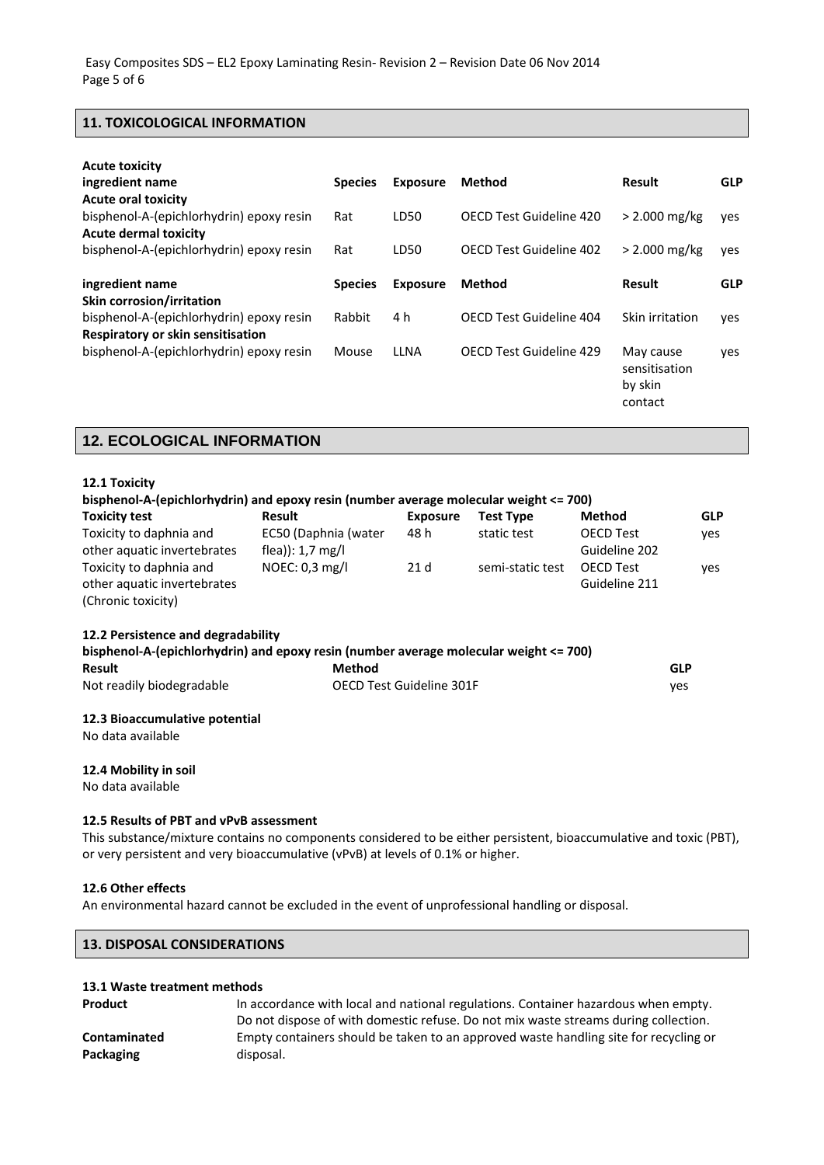### **11. TOXICOLOGICAL INFORMATION**

| <b>Acute toxicity</b><br>ingredient name<br><b>Acute oral toxicity</b>        | <b>Species</b> | <b>Exposure</b> | Method                         | Result                                           | <b>GLP</b> |
|-------------------------------------------------------------------------------|----------------|-----------------|--------------------------------|--------------------------------------------------|------------|
| bisphenol-A-(epichlorhydrin) epoxy resin<br><b>Acute dermal toxicity</b>      | Rat            | LD50            | OECD Test Guideline 420        | $> 2.000$ mg/kg                                  | yes        |
| bisphenol-A-(epichlorhydrin) epoxy resin                                      | Rat            | LD50            | OECD Test Guideline 402        | $> 2.000$ mg/kg                                  | yes        |
| ingredient name<br><b>Skin corrosion/irritation</b>                           | <b>Species</b> | <b>Exposure</b> | Method                         | Result                                           | <b>GLP</b> |
| bisphenol-A-(epichlorhydrin) epoxy resin<br>Respiratory or skin sensitisation | Rabbit         | 4 h             | OECD Test Guideline 404        | Skin irritation                                  | yes        |
| bisphenol-A-(epichlorhydrin) epoxy resin                                      | Mouse          | LLNA            | <b>OECD Test Guideline 429</b> | May cause<br>sensitisation<br>by skin<br>contact | yes        |

# **12. ECOLOGICAL INFORMATION**

| 12.1 Toxicity                                                                         |                            |                          |                  |                  |            |  |
|---------------------------------------------------------------------------------------|----------------------------|--------------------------|------------------|------------------|------------|--|
| bisphenol-A-(epichlorhydrin) and epoxy resin (number average molecular weight <= 700) |                            |                          |                  |                  |            |  |
| <b>Toxicity test</b>                                                                  | Result                     | <b>Exposure</b>          | <b>Test Type</b> | <b>Method</b>    | <b>GLP</b> |  |
| Toxicity to daphnia and                                                               | EC50 (Daphnia (water       | 48 h                     | static test      | <b>OECD Test</b> | yes        |  |
| other aquatic invertebrates                                                           | flea)): $1.7 \text{ mg/l}$ |                          |                  | Guideline 202    |            |  |
| Toxicity to daphnia and                                                               | NOEC: $0,3$ mg/l           | 21d                      | semi-static test | <b>OECD Test</b> | yes        |  |
| other aquatic invertebrates                                                           |                            |                          |                  | Guideline 211    |            |  |
| (Chronic toxicity)                                                                    |                            |                          |                  |                  |            |  |
| 12.2 Persistence and degradability                                                    |                            |                          |                  |                  |            |  |
| bisphenol-A-(epichlorhydrin) and epoxy resin (number average molecular weight <= 700) |                            |                          |                  |                  |            |  |
| <b>Result</b>                                                                         | <b>Method</b>              |                          |                  |                  | <b>GLP</b> |  |
| Not readily biodegradable                                                             |                            | OECD Test Guideline 301F |                  |                  | yes        |  |
| 12.3 Bioaccumulative potential                                                        |                            |                          |                  |                  |            |  |
| No data available                                                                     |                            |                          |                  |                  |            |  |
| 12.4 Mobility in soil                                                                 |                            |                          |                  |                  |            |  |

No data available

### **12.5 Results of PBT and vPvB assessment**

This substance/mixture contains no components considered to be either persistent, bioaccumulative and toxic (PBT), or very persistent and very bioaccumulative (vPvB) at levels of 0.1% or higher.

### **12.6 Other effects**

An environmental hazard cannot be excluded in the event of unprofessional handling or disposal.

| <b>13. DISPOSAL CONSIDERATIONS</b> |
|------------------------------------|
|------------------------------------|

### **13.1 Waste treatment methods**

| <b>Product</b> | In accordance with local and national regulations. Container hazardous when empty.   |
|----------------|--------------------------------------------------------------------------------------|
|                | Do not dispose of with domestic refuse. Do not mix waste streams during collection.  |
| Contaminated   | Empty containers should be taken to an approved waste handling site for recycling or |
| Packaging      | disposal.                                                                            |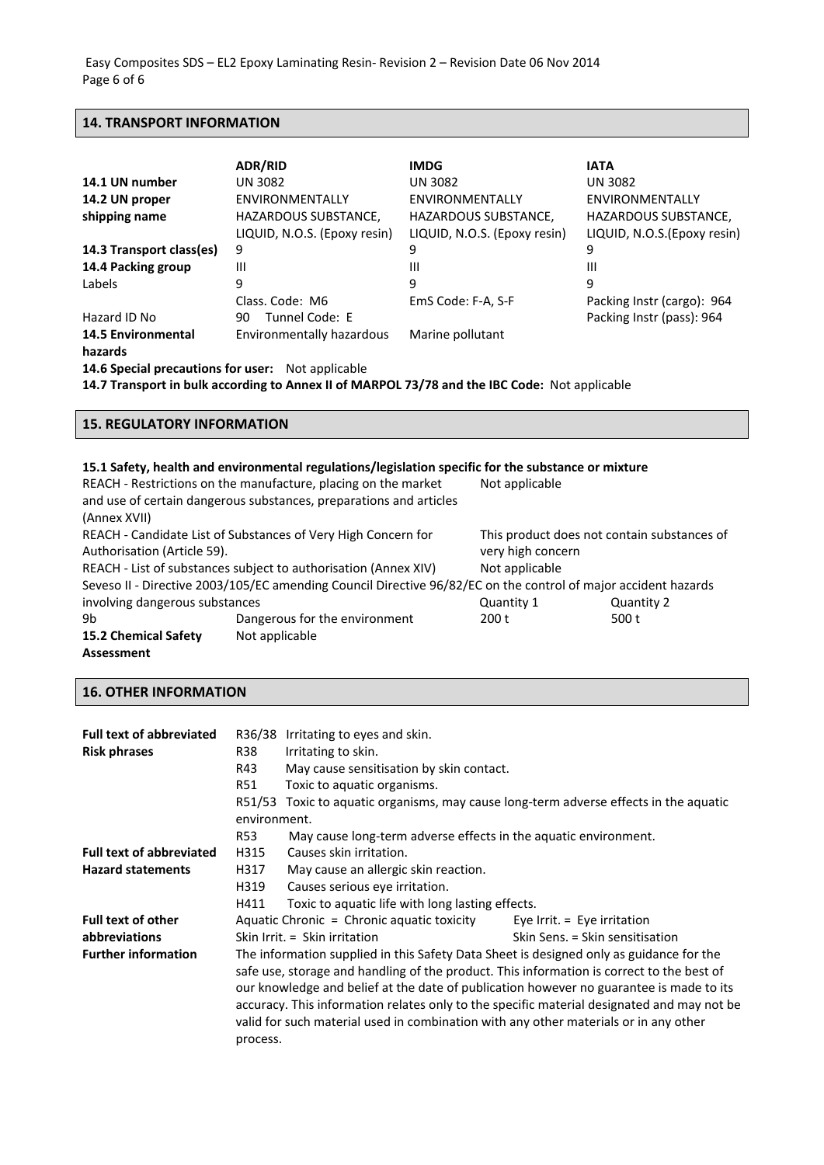## **14. TRANSPORT INFORMATION**

|                                                          | <b>ADR/RID</b>               | <b>IMDG</b>                  | <b>IATA</b>                  |
|----------------------------------------------------------|------------------------------|------------------------------|------------------------------|
| 14.1 UN number                                           | <b>UN 3082</b>               | <b>UN 3082</b>               | <b>UN 3082</b>               |
| 14.2 UN proper                                           | ENVIRONMENTALLY              | ENVIRONMENTALLY              | ENVIRONMENTALLY              |
| shipping name                                            | HAZARDOUS SUBSTANCE,         | <b>HAZARDOUS SUBSTANCE,</b>  | <b>HAZARDOUS SUBSTANCE,</b>  |
|                                                          | LIQUID, N.O.S. (Epoxy resin) | LIQUID, N.O.S. (Epoxy resin) | LIQUID, N.O.S. (Epoxy resin) |
| 14.3 Transport class(es)                                 | 9                            | 9                            | 9                            |
| 14.4 Packing group                                       | Ш                            | Ш                            | Ш                            |
| Labels                                                   | 9                            | 9                            | 9                            |
|                                                          | Class, Code: M6              | EmS Code: F-A, S-F           | Packing Instr (cargo): 964   |
| Hazard ID No                                             | Tunnel Code: E<br>90         |                              | Packing Instr (pass): 964    |
| <b>14.5 Environmental</b>                                | Environmentally hazardous    | Marine pollutant             |                              |
| hazards                                                  |                              |                              |                              |
| <b>14.6 Special precautions for user:</b> Not applicable |                              |                              |                              |

**14.7 Transport in bulk according to Annex II of MARPOL 73/78 and the IBC Code:** Not applicable

### **15. REGULATORY INFORMATION**

|                                                                 | 15.1 Safety, health and environmental regulations/legislation specific for the substance or mixture            |                                             |            |  |
|-----------------------------------------------------------------|----------------------------------------------------------------------------------------------------------------|---------------------------------------------|------------|--|
|                                                                 | REACH - Restrictions on the manufacture, placing on the market                                                 | Not applicable                              |            |  |
|                                                                 | and use of certain dangerous substances, preparations and articles                                             |                                             |            |  |
| (Annex XVII)                                                    |                                                                                                                |                                             |            |  |
| REACH - Candidate List of Substances of Very High Concern for   |                                                                                                                | This product does not contain substances of |            |  |
| Authorisation (Article 59).                                     |                                                                                                                | very high concern                           |            |  |
| REACH - List of substances subject to authorisation (Annex XIV) |                                                                                                                | Not applicable                              |            |  |
|                                                                 | Seveso II - Directive 2003/105/EC amending Council Directive 96/82/EC on the control of major accident hazards |                                             |            |  |
| involving dangerous substances                                  |                                                                                                                | Quantity 1                                  | Quantity 2 |  |
| 9b                                                              | Dangerous for the environment                                                                                  | 200 t                                       | 500 t      |  |
| <b>15.2 Chemical Safety</b>                                     | Not applicable                                                                                                 |                                             |            |  |

**Assessment**

## **16. OTHER INFORMATION**

| <b>Full text of abbreviated</b><br><b>Risk phrases</b> | R36/38<br>R38<br>R43<br><b>R51</b><br>environment. | Irritating to eyes and skin.<br>Irritating to skin.<br>May cause sensitisation by skin contact.<br>Toxic to aquatic organisms.<br>R51/53 Toxic to aquatic organisms, may cause long-term adverse effects in the aquatic |                                                                                            |
|--------------------------------------------------------|----------------------------------------------------|-------------------------------------------------------------------------------------------------------------------------------------------------------------------------------------------------------------------------|--------------------------------------------------------------------------------------------|
|                                                        | R53                                                | May cause long-term adverse effects in the aquatic environment.                                                                                                                                                         |                                                                                            |
| <b>Full text of abbreviated</b>                        | H315                                               | Causes skin irritation.                                                                                                                                                                                                 |                                                                                            |
| <b>Hazard statements</b>                               | H317                                               | May cause an allergic skin reaction.                                                                                                                                                                                    |                                                                                            |
|                                                        | H319                                               | Causes serious eye irritation.                                                                                                                                                                                          |                                                                                            |
|                                                        | H411                                               | Toxic to aquatic life with long lasting effects.                                                                                                                                                                        |                                                                                            |
| <b>Full text of other</b>                              |                                                    | Aquatic Chronic = Chronic aquatic toxicity                                                                                                                                                                              | Eye Irrit. $=$ Eye irritation                                                              |
| abbreviations                                          |                                                    | Skin Irrit. $=$ Skin irritation                                                                                                                                                                                         | Skin Sens. = Skin sensitisation                                                            |
| <b>Further information</b>                             |                                                    | The information supplied in this Safety Data Sheet is designed only as guidance for the                                                                                                                                 |                                                                                            |
|                                                        |                                                    | safe use, storage and handling of the product. This information is correct to the best of                                                                                                                               |                                                                                            |
|                                                        |                                                    | our knowledge and belief at the date of publication however no guarantee is made to its                                                                                                                                 |                                                                                            |
|                                                        |                                                    |                                                                                                                                                                                                                         | accuracy. This information relates only to the specific material designated and may not be |
|                                                        |                                                    | valid for such material used in combination with any other materials or in any other                                                                                                                                    |                                                                                            |
|                                                        | process.                                           |                                                                                                                                                                                                                         |                                                                                            |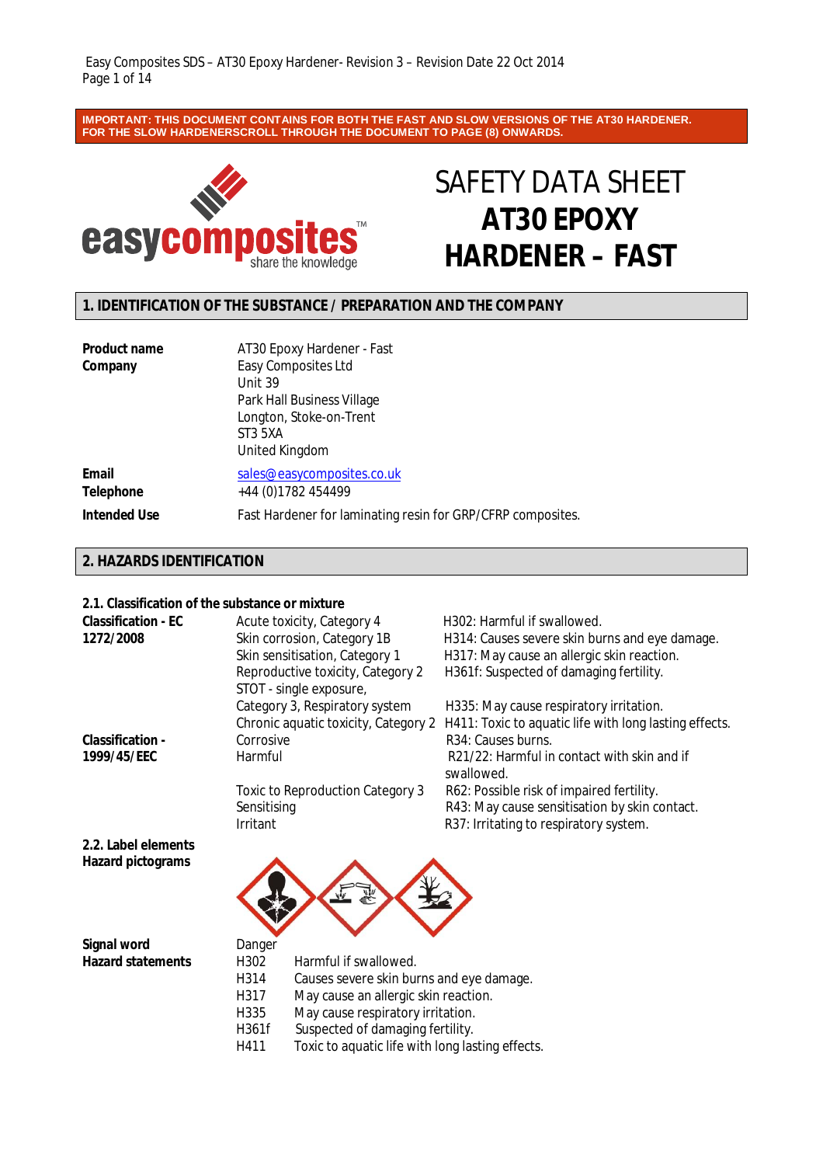**IMPORTANT: THIS DOCUMENT CONTAINS FOR BOTH THE FAST AND SLOW VERSIONS OF THE AT30 HARDENER. FOR THE SLOW HARDENERSCROLL THROUGH THE DOCUMENT TO PAGE (8) ONWARDS.**



# SAFETY DATA SHEET **AT30 EPOXY HARDENER – FAST**

# **1. IDENTIFICATION OF THE SUBSTANCE / PREPARATION AND THE COMPANY**

| <b>Product name</b>       | AT30 Epoxy Hardener - Fast                                                                                           |
|---------------------------|----------------------------------------------------------------------------------------------------------------------|
| Company                   | Easy Composites Ltd<br>Unit 39<br>Park Hall Business Village<br>Longton, Stoke-on-Trent<br>ST3 5XA<br>United Kingdom |
| Email<br><b>Telephone</b> | sales@easycomposites.co.uk<br>+44 (0) 1782 454499                                                                    |
| <b>Intended Use</b>       | Fast Hardener for laminating resin for GRP/CFRP composites.                                                          |

## **2. HAZARDS IDENTIFICATION**

### **2.1. Classification of the substance or mixture**

| ב. ו. טועסטווויענוסוכ טוויט וויס וויסטוויכנווויגנעו ט |                                      |                                                           |
|-------------------------------------------------------|--------------------------------------|-----------------------------------------------------------|
| <b>Classification - EC</b>                            | Acute toxicity, Category 4           | H <sub>302</sub> : Harmful if swallowed.                  |
| 1272/2008                                             | Skin corrosion, Category 1B          | H314: Causes severe skin burns and eye damage.            |
|                                                       | Skin sensitisation, Category 1       | H317: May cause an allergic skin reaction.                |
|                                                       | Reproductive toxicity, Category 2    | H361f: Suspected of damaging fertility.                   |
|                                                       | STOT - single exposure,              |                                                           |
|                                                       | Category 3, Respiratory system       | H335: May cause respiratory irritation.                   |
|                                                       | Chronic aquatic toxicity, Category 2 | H411: Toxic to aquatic life with long lasting effects.    |
| <b>Classification -</b>                               | Corrosive                            | R <sub>34</sub> : Causes burns.                           |
| 1999/45/EEC                                           | Harmful                              | R21/22: Harmful in contact with skin and if<br>swallowed. |
|                                                       | Toxic to Reproduction Category 3     | R62: Possible risk of impaired fertility.                 |
|                                                       | Sensitising                          | R43: May cause sensitisation by skin contact.             |
|                                                       | <b>Irritant</b>                      | R37: Irritating to respiratory system.                    |
| 2.2. Label elements                                   |                                      |                                                           |
| Hazard pictograms                                     |                                      |                                                           |

**Signal word** Danger<br> **Hazard statements** H302

**Harmful if swallowed.** H314 Causes severe skin burns and eye damage. H317 May cause an allergic skin reaction. H335 May cause respiratory irritation.

H361f Suspected of damaging fertility.<br>H411 Toxic to aquatic life with long las Toxic to aquatic life with long lasting effects.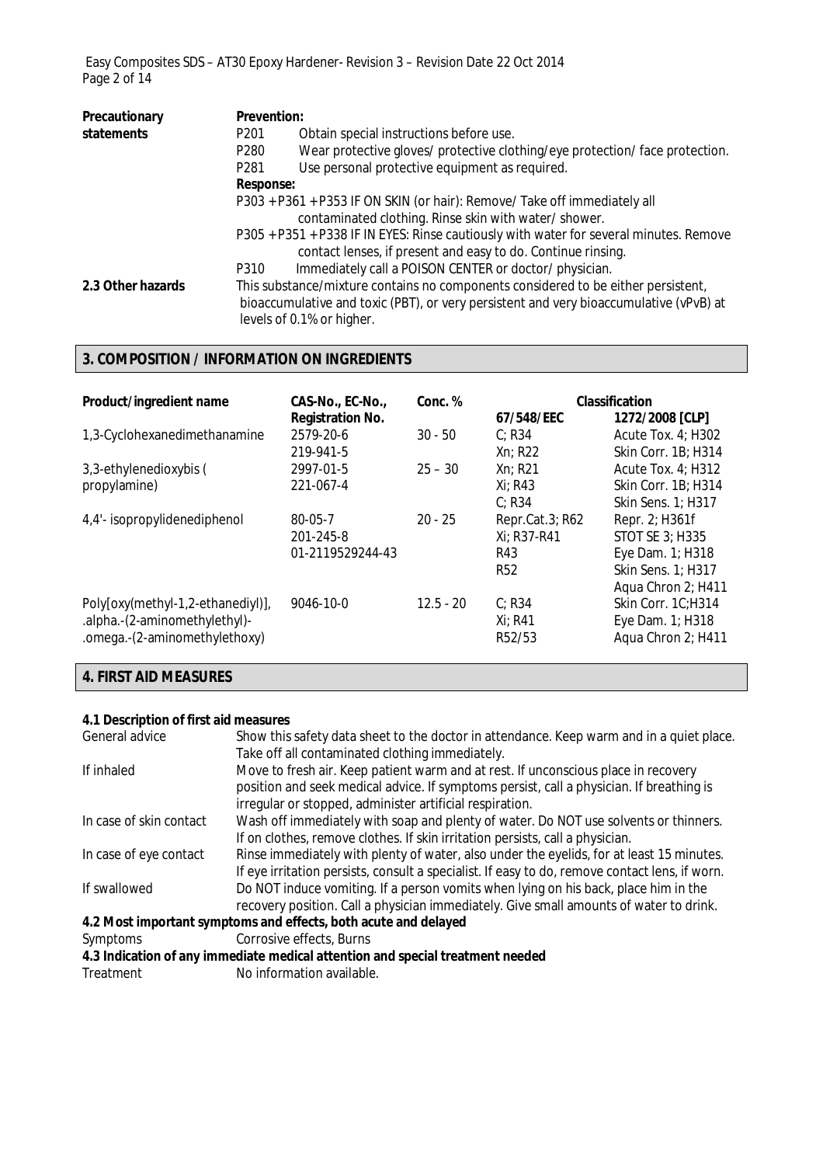Easy Composites SDS – AT30 Epoxy Hardener- Revision 3 – Revision Date 22 Oct 2014 Page 2 of 14

| Precautionary     | <b>Prevention:</b> |                                                                                                                                                                                                          |
|-------------------|--------------------|----------------------------------------------------------------------------------------------------------------------------------------------------------------------------------------------------------|
| statements        | P <sub>201</sub>   | Obtain special instructions before use.                                                                                                                                                                  |
|                   | P280               | Wear protective gloves/ protective clothing/eye protection/ face protection.                                                                                                                             |
|                   | P <sub>281</sub>   | Use personal protective equipment as required.                                                                                                                                                           |
|                   | <b>Response:</b>   |                                                                                                                                                                                                          |
|                   |                    | P303 + P361 + P353 IF ON SKIN (or hair): Remove/ Take off immediately all<br>contaminated clothing. Rinse skin with water/shower.                                                                        |
|                   |                    | P305 + P351 + P338 IF IN EYES: Rinse cautiously with water for several minutes. Remove<br>contact lenses, if present and easy to do. Continue rinsing.                                                   |
|                   | P310               | Immediately call a POISON CENTER or doctor/physician.                                                                                                                                                    |
| 2.3 Other hazards |                    | This substance/mixture contains no components considered to be either persistent,<br>bioaccumulative and toxic (PBT), or very persistent and very bioaccumulative (vPvB) at<br>levels of 0.1% or higher. |

# **3. COMPOSITION / INFORMATION ON INGREDIENTS**

| Product/ingredient name                                                                             | CAS-No., EC-No.,<br><b>Registration No.</b> | Conc. %     | 67/548/EEC                                          | <b>Classification</b><br>1272/2008 [CLP]                                           |
|-----------------------------------------------------------------------------------------------------|---------------------------------------------|-------------|-----------------------------------------------------|------------------------------------------------------------------------------------|
| 1,3-Cyclohexanedimethanamine                                                                        | 2579-20-6<br>219-941-5                      | $30 - 50$   | C: R34<br>Xn; R22                                   | Acute Tox. $4$ ; H302<br>Skin Corr. 1B; H314                                       |
| 3,3-ethylenedioxybis (<br>propylamine)                                                              | 2997-01-5<br>221-067-4                      | $25 - 30$   | $Xn$ ; R21<br>Xi: R43<br>C: R34                     | Acute Tox. 4; H312<br>Skin Corr. 1B; H314<br>Skin Sens. 1; H317                    |
| 4,4'- isopropylidenediphenol                                                                        | 80-05-7<br>201-245-8<br>01-2119529244-43    | $20 - 25$   | Repr.Cat.3; R62<br>Xi; R37-R41<br>R43<br><b>R52</b> | Repr. 2; H361f<br>STOT SE 3; H335<br>Eye Dam. 1; H318<br>Skin Sens. 1; H317        |
| Poly[oxy(methyl-1,2-ethanediyl)],<br>.alpha.-(2-aminomethylethyl)-<br>.omega.-(2-aminomethylethoxy) | 9046-10-0                                   | $12.5 - 20$ | C: R34<br>$Xi$ ; R41<br>R <sub>52</sub> /53         | Aqua Chron 2; H411<br>Skin Corr. 1C;H314<br>Eye Dam. 1; H318<br>Aqua Chron 2; H411 |

# **4. FIRST AID MEASURES**

### **4.1 Description of first aid measures**

| General advice          | Show this safety data sheet to the doctor in attendance. Keep warm and in a quiet place.       |
|-------------------------|------------------------------------------------------------------------------------------------|
|                         | Take off all contaminated clothing immediately.                                                |
| If inhaled              | Move to fresh air. Keep patient warm and at rest. If unconscious place in recovery             |
|                         | position and seek medical advice. If symptoms persist, call a physician. If breathing is       |
|                         | irregular or stopped, administer artificial respiration.                                       |
| In case of skin contact | Wash off immediately with soap and plenty of water. Do NOT use solvents or thinners.           |
|                         | If on clothes, remove clothes. If skin irritation persists, call a physician.                  |
| In case of eye contact  | Rinse immediately with plenty of water, also under the eyelids, for at least 15 minutes.       |
|                         | If eye irritation persists, consult a specialist. If easy to do, remove contact lens, if worn. |
| If swallowed            | Do NOT induce vomiting. If a person vomits when lying on his back, place him in the            |
|                         | recovery position. Call a physician immediately. Give small amounts of water to drink.         |
|                         | 4.2 Most important symptoms and effects, both acute and delayed                                |
| Symptoms                | Corrosive effects, Burns                                                                       |
|                         | 4.3 Indication of any immediate medical attention and special treatment needed                 |
|                         |                                                                                                |

Treatment No information available.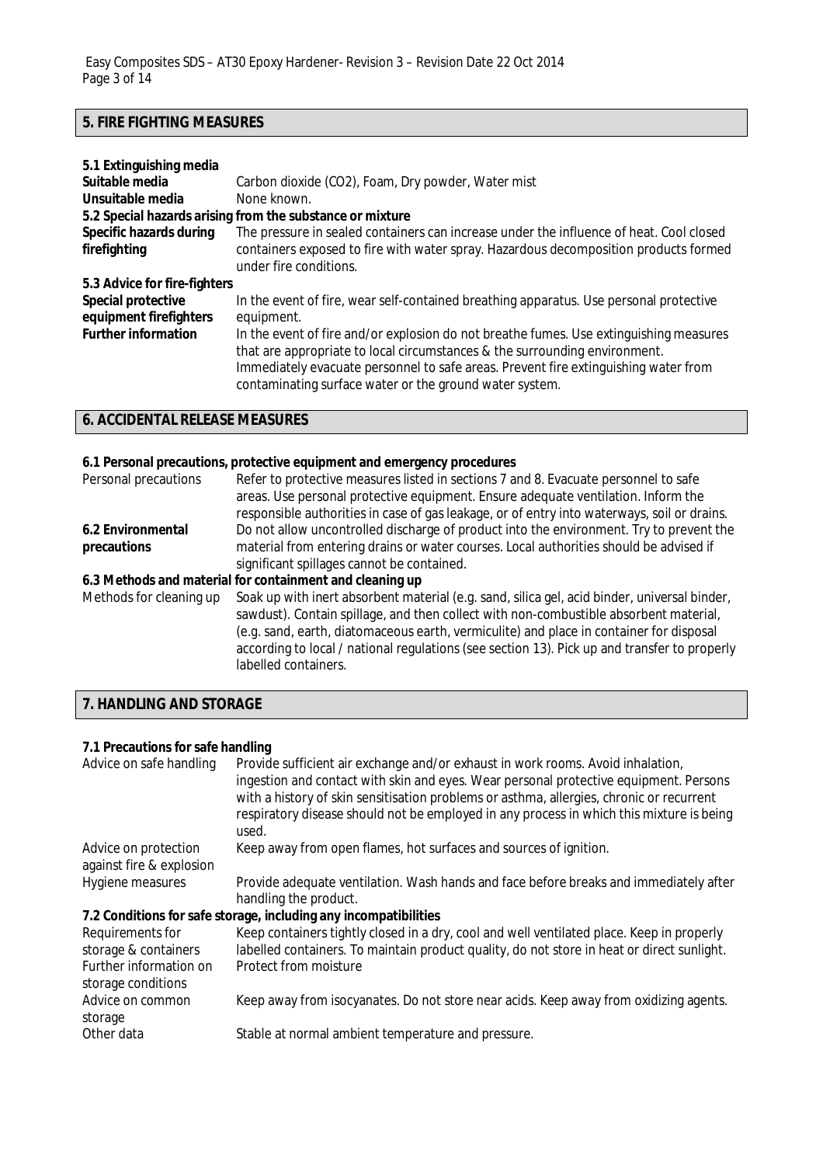# **5. FIRE FIGHTING MEASURES**

| 5.1 Extinguishing media        |                                                                                                                                                                                                                                                                                                                        |
|--------------------------------|------------------------------------------------------------------------------------------------------------------------------------------------------------------------------------------------------------------------------------------------------------------------------------------------------------------------|
| Suitable media                 | Carbon dioxide (CO2), Foam, Dry powder, Water mist                                                                                                                                                                                                                                                                     |
| Unsuitable media               | None known.                                                                                                                                                                                                                                                                                                            |
|                                | 5.2 Special hazards arising from the substance or mixture                                                                                                                                                                                                                                                              |
| <b>Specific hazards during</b> | The pressure in sealed containers can increase under the influence of heat. Cool closed                                                                                                                                                                                                                                |
| firefighting                   | containers exposed to fire with water spray. Hazardous decomposition products formed                                                                                                                                                                                                                                   |
|                                | under fire conditions.                                                                                                                                                                                                                                                                                                 |
| 5.3 Advice for fire-fighters   |                                                                                                                                                                                                                                                                                                                        |
| Special protective             | In the event of fire, wear self-contained breathing apparatus. Use personal protective                                                                                                                                                                                                                                 |
| equipment firefighters         | equipment.                                                                                                                                                                                                                                                                                                             |
| <b>Further information</b>     | In the event of fire and/or explosion do not breathe fumes. Use extinguishing measures<br>that are appropriate to local circumstances & the surrounding environment.<br>Immediately evacuate personnel to safe areas. Prevent fire extinguishing water from<br>contaminating surface water or the ground water system. |

# **6. ACCIDENTAL RELEASE MEASURES**

# **6.1 Personal precautions, protective equipment and emergency procedures**

| Personal precautions    | Refer to protective measures listed in sections 7 and 8. Evacuate personnel to safe<br>areas. Use personal protective equipment. Ensure adequate ventilation. Inform the<br>responsible authorities in case of gas leakage, or of entry into waterways, soil or drains.                                                                                                                                  |
|-------------------------|----------------------------------------------------------------------------------------------------------------------------------------------------------------------------------------------------------------------------------------------------------------------------------------------------------------------------------------------------------------------------------------------------------|
| 6.2 Environmental       | Do not allow uncontrolled discharge of product into the environment. Try to prevent the                                                                                                                                                                                                                                                                                                                  |
| precautions             | material from entering drains or water courses. Local authorities should be advised if                                                                                                                                                                                                                                                                                                                   |
|                         | significant spillages cannot be contained.                                                                                                                                                                                                                                                                                                                                                               |
|                         | 6.3 Methods and material for containment and cleaning up                                                                                                                                                                                                                                                                                                                                                 |
| Methods for cleaning up | Soak up with inert absorbent material (e.g. sand, silica gel, acid binder, universal binder,<br>sawdust). Contain spillage, and then collect with non-combustible absorbent material,<br>(e.g. sand, earth, diatomaceous earth, vermiculite) and place in container for disposal<br>according to local / national regulations (see section 13). Pick up and transfer to properly<br>labelled containers. |

# **7. HANDLING AND STORAGE**

# **7.1 Precautions for safe handling**

| Advice on safe handling                                                                  | Provide sufficient air exchange and/or exhaust in work rooms. Avoid inhalation,<br>ingestion and contact with skin and eyes. Wear personal protective equipment. Persons<br>with a history of skin sensitisation problems or asthma, allergies, chronic or recurrent<br>respiratory disease should not be employed in any process in which this mixture is being<br>used. |
|------------------------------------------------------------------------------------------|---------------------------------------------------------------------------------------------------------------------------------------------------------------------------------------------------------------------------------------------------------------------------------------------------------------------------------------------------------------------------|
| Advice on protection<br>against fire & explosion                                         | Keep away from open flames, hot surfaces and sources of ignition.                                                                                                                                                                                                                                                                                                         |
| Hygiene measures                                                                         | Provide adequate ventilation. Wash hands and face before breaks and immediately after<br>handling the product.                                                                                                                                                                                                                                                            |
|                                                                                          | 7.2 Conditions for safe storage, including any incompatibilities                                                                                                                                                                                                                                                                                                          |
| Requirements for<br>storage & containers<br>Further information on<br>storage conditions | Keep containers tightly closed in a dry, cool and well ventilated place. Keep in properly<br>labelled containers. To maintain product quality, do not store in heat or direct sunlight.<br>Protect from moisture                                                                                                                                                          |
| Advice on common<br>storage                                                              | Keep away from isocyanates. Do not store near acids. Keep away from oxidizing agents.                                                                                                                                                                                                                                                                                     |
| Other data                                                                               | Stable at normal ambient temperature and pressure.                                                                                                                                                                                                                                                                                                                        |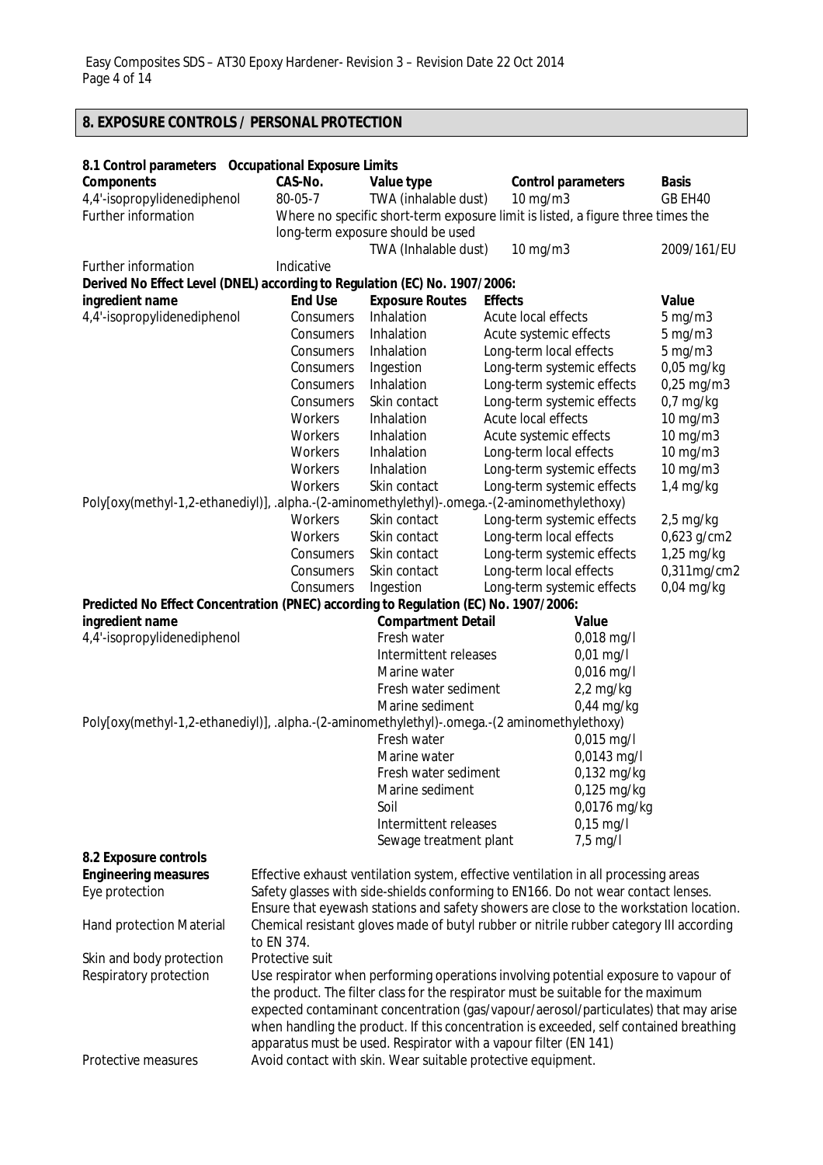# **8. EXPOSURE CONTROLS / PERSONAL PROTECTION**

| 8.1 Control parameters Occupational Exposure Limits                                          |                                                                                     |                                   |                                                                                                                                  |                            |  |
|----------------------------------------------------------------------------------------------|-------------------------------------------------------------------------------------|-----------------------------------|----------------------------------------------------------------------------------------------------------------------------------|----------------------------|--|
| <b>Components</b>                                                                            | CAS-No.                                                                             | Value type                        | <b>Control parameters</b>                                                                                                        | <b>Basis</b>               |  |
| 4,4'-isopropylidenediphenol                                                                  | 80-05-7                                                                             | TWA (inhalable dust)              | 10 mg/m3                                                                                                                         | GB EH40                    |  |
| Further information                                                                          |                                                                                     |                                   | Where no specific short-term exposure limit is listed, a figure three times the                                                  |                            |  |
|                                                                                              |                                                                                     | long-term exposure should be used |                                                                                                                                  |                            |  |
|                                                                                              |                                                                                     | TWA (Inhalable dust)              | 10 mg/m3                                                                                                                         | 2009/161/EU                |  |
| Further information                                                                          | Indicative                                                                          |                                   |                                                                                                                                  |                            |  |
| Derived No Effect Level (DNEL) according to Regulation (EC) No. 1907/2006:                   |                                                                                     |                                   |                                                                                                                                  |                            |  |
| ingredient name                                                                              | <b>End Use</b>                                                                      | <b>Exposure Routes</b>            | <b>Effects</b>                                                                                                                   | Value                      |  |
| 4,4'-isopropylidenediphenol                                                                  | Consumers                                                                           | Inhalation                        | Acute local effects                                                                                                              | $5$ mg/m $3$               |  |
|                                                                                              | Consumers                                                                           | Inhalation                        | Acute systemic effects                                                                                                           | $5 \text{ mg/m}$           |  |
|                                                                                              | Consumers                                                                           | Inhalation                        | Long-term local effects                                                                                                          | $5 \text{ mg/m}$           |  |
|                                                                                              | Consumers<br>Consumers                                                              | Ingestion<br>Inhalation           | Long-term systemic effects<br>Long-term systemic effects                                                                         | $0,05$ mg/kg<br>0,25 mg/m3 |  |
|                                                                                              | Consumers                                                                           | Skin contact                      | Long-term systemic effects                                                                                                       | $0.7$ mg/kg                |  |
|                                                                                              | Workers                                                                             | Inhalation                        | Acute local effects                                                                                                              | 10 mg/m3                   |  |
|                                                                                              | Workers                                                                             | Inhalation                        | Acute systemic effects                                                                                                           | 10 mg/m3                   |  |
|                                                                                              | Workers                                                                             | Inhalation                        | Long-term local effects                                                                                                          | 10 mg/m3                   |  |
|                                                                                              | Workers                                                                             | Inhalation                        | Long-term systemic effects                                                                                                       | 10 mg/m3                   |  |
|                                                                                              | Workers                                                                             | Skin contact                      | Long-term systemic effects                                                                                                       | $1,4$ mg/kg                |  |
| Poly[oxy(methyl-1,2-ethanediyl)], .alpha.-(2-aminomethylethyl)-.omega.-(2-aminomethylethoxy) |                                                                                     |                                   |                                                                                                                                  |                            |  |
|                                                                                              | Workers                                                                             | Skin contact                      | Long-term systemic effects                                                                                                       | $2,5$ mg/kg                |  |
|                                                                                              | Workers                                                                             | Skin contact                      | Long-term local effects                                                                                                          | 0,623 g/cm2                |  |
|                                                                                              | Consumers                                                                           | Skin contact                      | Long-term systemic effects                                                                                                       | 1,25 mg/kg                 |  |
|                                                                                              | Consumers                                                                           | Skin contact                      | Long-term local effects                                                                                                          | 0,311mg/cm2                |  |
|                                                                                              | Consumers                                                                           | Ingestion                         | Long-term systemic effects                                                                                                       | $0,04$ mg/kg               |  |
| Predicted No Effect Concentration (PNEC) according to Regulation (EC) No. 1907/2006:         |                                                                                     |                                   |                                                                                                                                  |                            |  |
| ingredient name                                                                              |                                                                                     | <b>Compartment Detail</b>         | Value                                                                                                                            |                            |  |
| 4,4'-isopropylidenediphenol                                                                  |                                                                                     | Fresh water                       | 0,018 mg/l                                                                                                                       |                            |  |
|                                                                                              |                                                                                     | Intermittent releases             | $0,01$ mg/l                                                                                                                      |                            |  |
|                                                                                              |                                                                                     | Marine water                      | 0,016 mg/l                                                                                                                       |                            |  |
|                                                                                              |                                                                                     | Fresh water sediment              | $2,2$ mg/kg                                                                                                                      |                            |  |
|                                                                                              |                                                                                     | Marine sediment                   | $0,44$ mg/kg                                                                                                                     |                            |  |
| Poly[oxy(methyl-1,2-ethanediyl)], .alpha.-(2-aminomethylethyl)-.omega.-(2 aminomethylethoxy) |                                                                                     | Fresh water                       | 0,015 mg/l                                                                                                                       |                            |  |
|                                                                                              |                                                                                     | Marine water                      | 0,0143 mg/l                                                                                                                      |                            |  |
|                                                                                              |                                                                                     | Fresh water sediment              | 0,132 mg/kg                                                                                                                      |                            |  |
|                                                                                              |                                                                                     | Marine sediment                   | 0,125 mg/kg                                                                                                                      |                            |  |
|                                                                                              |                                                                                     | Soil                              | 0,0176 mg/kg                                                                                                                     |                            |  |
|                                                                                              |                                                                                     | Intermittent releases             | $0,15$ mg/l                                                                                                                      |                            |  |
|                                                                                              |                                                                                     | Sewage treatment plant            | $7,5$ mg/l                                                                                                                       |                            |  |
| 8.2 Exposure controls                                                                        |                                                                                     |                                   |                                                                                                                                  |                            |  |
| <b>Engineering measures</b>                                                                  |                                                                                     |                                   | Effective exhaust ventilation system, effective ventilation in all processing areas                                              |                            |  |
| Eye protection                                                                               |                                                                                     |                                   | Safety glasses with side-shields conforming to EN166. Do not wear contact lenses.                                                |                            |  |
|                                                                                              |                                                                                     |                                   | Ensure that eyewash stations and safety showers are close to the workstation location.                                           |                            |  |
| Hand protection Material                                                                     |                                                                                     |                                   | Chemical resistant gloves made of butyl rubber or nitrile rubber category III according                                          |                            |  |
|                                                                                              | to EN 374.                                                                          |                                   |                                                                                                                                  |                            |  |
| Skin and body protection                                                                     | Protective suit                                                                     |                                   |                                                                                                                                  |                            |  |
| Respiratory protection                                                                       | Use respirator when performing operations involving potential exposure to vapour of |                                   |                                                                                                                                  |                            |  |
|                                                                                              |                                                                                     |                                   | the product. The filter class for the respirator must be suitable for the maximum                                                |                            |  |
|                                                                                              |                                                                                     |                                   | expected contaminant concentration (gas/vapour/aerosol/particulates) that may arise                                              |                            |  |
|                                                                                              |                                                                                     |                                   | when handling the product. If this concentration is exceeded, self contained breathing                                           |                            |  |
| Protective measures                                                                          |                                                                                     |                                   | apparatus must be used. Respirator with a vapour filter (EN 141)<br>Avoid contact with skin. Wear suitable protective equipment. |                            |  |
|                                                                                              |                                                                                     |                                   |                                                                                                                                  |                            |  |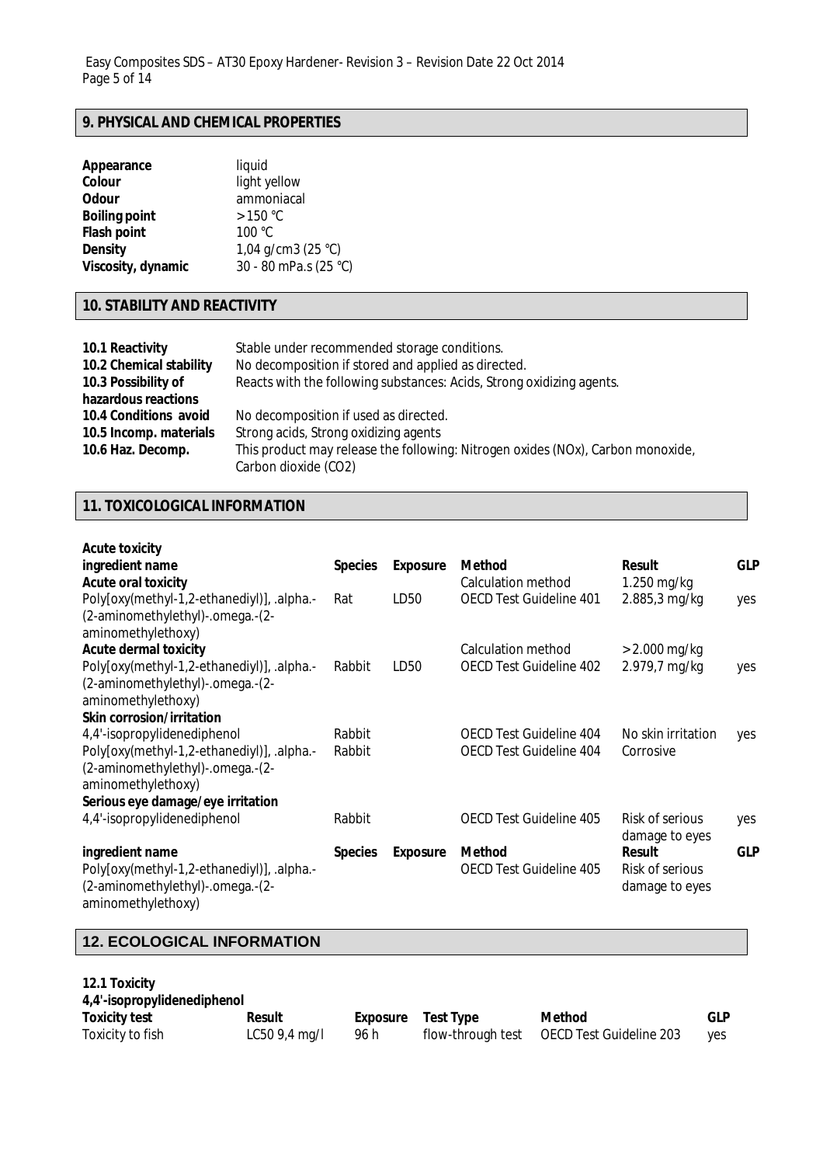### **9. PHYSICAL AND CHEMICAL PROPERTIES**

| Appearance           | liquid                |
|----------------------|-----------------------|
| Colour               | light yellow          |
| <b>Odour</b>         | ammoniacal            |
| <b>Boiling point</b> | $>150$ °C             |
| <b>Flash point</b>   | 100 °C                |
| <b>Density</b>       | 1,04 g/cm3 (25 °C)    |
| Viscosity, dynamic   | 30 - 80 mPa.s (25 °C) |

# **10. STABILITY AND REACTIVITY**

| 10.1 Reactivity<br>10.2 Chemical stability<br>10.3 Possibility of | Stable under recommended storage conditions.<br>No decomposition if stored and applied as directed.<br>Reacts with the following substances: Acids, Strong oxidizing agents. |
|-------------------------------------------------------------------|------------------------------------------------------------------------------------------------------------------------------------------------------------------------------|
| hazardous reactions                                               |                                                                                                                                                                              |
| 10.4 Conditions avoid                                             | No decomposition if used as directed.                                                                                                                                        |
| 10.5 Incomp. materials                                            | Strong acids, Strong oxidizing agents                                                                                                                                        |
| 10.6 Haz. Decomp.                                                 | This product may release the following: Nitrogen oxides (NOx), Carbon monoxide,<br>Carbon dioxide (CO2)                                                                      |

# **11. TOXICOLOGICAL INFORMATION**

| <b>Acute toxicity</b>                      |                |                 |                                |                    |            |
|--------------------------------------------|----------------|-----------------|--------------------------------|--------------------|------------|
| ingredient name                            | <b>Species</b> | <b>Exposure</b> | <b>Method</b>                  | <b>Result</b>      | <b>GLP</b> |
| <b>Acute oral toxicity</b>                 |                |                 | Calculation method             | $1.250$ mg/kg      |            |
| Poly[oxy(methyl-1,2-ethanediyl)], .alpha.- | Rat            | LD50            | <b>OECD Test Guideline 401</b> | 2.885,3 mg/kg      | yes        |
| (2-aminomethylethyl)-.omega.-(2-           |                |                 |                                |                    |            |
| aminomethylethoxy)                         |                |                 |                                |                    |            |
| <b>Acute dermal toxicity</b>               |                |                 | Calculation method             | $> 2.000$ mg/kg    |            |
| Poly[oxy(methyl-1,2-ethanediyl)], .alpha.- | Rabbit         | LD50            | <b>OECD Test Guideline 402</b> | 2.979,7 mg/kg      | yes        |
| (2-aminomethylethyl)-.omega.-(2-           |                |                 |                                |                    |            |
| aminomethylethoxy)                         |                |                 |                                |                    |            |
| <b>Skin corrosion/irritation</b>           |                |                 |                                |                    |            |
| 4,4'-isopropylidenediphenol                | Rabbit         |                 | OECD Test Guideline 404        | No skin irritation | yes        |
| Poly[oxy(methyl-1,2-ethanediyl)], .alpha.- | Rabbit         |                 | <b>OECD Test Guideline 404</b> | Corrosive          |            |
| (2-aminomethylethyl)-.omega.-(2-           |                |                 |                                |                    |            |
| aminomethylethoxy)                         |                |                 |                                |                    |            |
| Serious eye damage/eye irritation          |                |                 |                                |                    |            |
| 4,4'-isopropylidenediphenol                | Rabbit         |                 | OECD Test Guideline 405        | Risk of serious    | yes        |
|                                            |                |                 |                                | damage to eyes     |            |
| ingredient name                            | <b>Species</b> | <b>Exposure</b> | <b>Method</b>                  | <b>Result</b>      | <b>GLP</b> |
| Poly[oxy(methyl-1,2-ethanediyl)], .alpha.- |                |                 | <b>OECD Test Guideline 405</b> | Risk of serious    |            |
| (2-aminomethylethyl)-.omega.-(2-           |                |                 |                                | damage to eyes     |            |
| aminomethylethoxy)                         |                |                 |                                |                    |            |

# **12. ECOLOGICAL INFORMATION**

| 12.1 Toxicity<br>4,4'-isopropylidenediphenol |                |          |                   |                         |            |
|----------------------------------------------|----------------|----------|-------------------|-------------------------|------------|
| <b>Toxicity test</b>                         | <b>Result</b>  | Exposure | <b>Test Type</b>  | <b>Method</b>           | <b>GLP</b> |
| Toxicity to fish                             | $LC509,4$ mg/l | 96 h     | flow-through test | OECD Test Guideline 203 | ves        |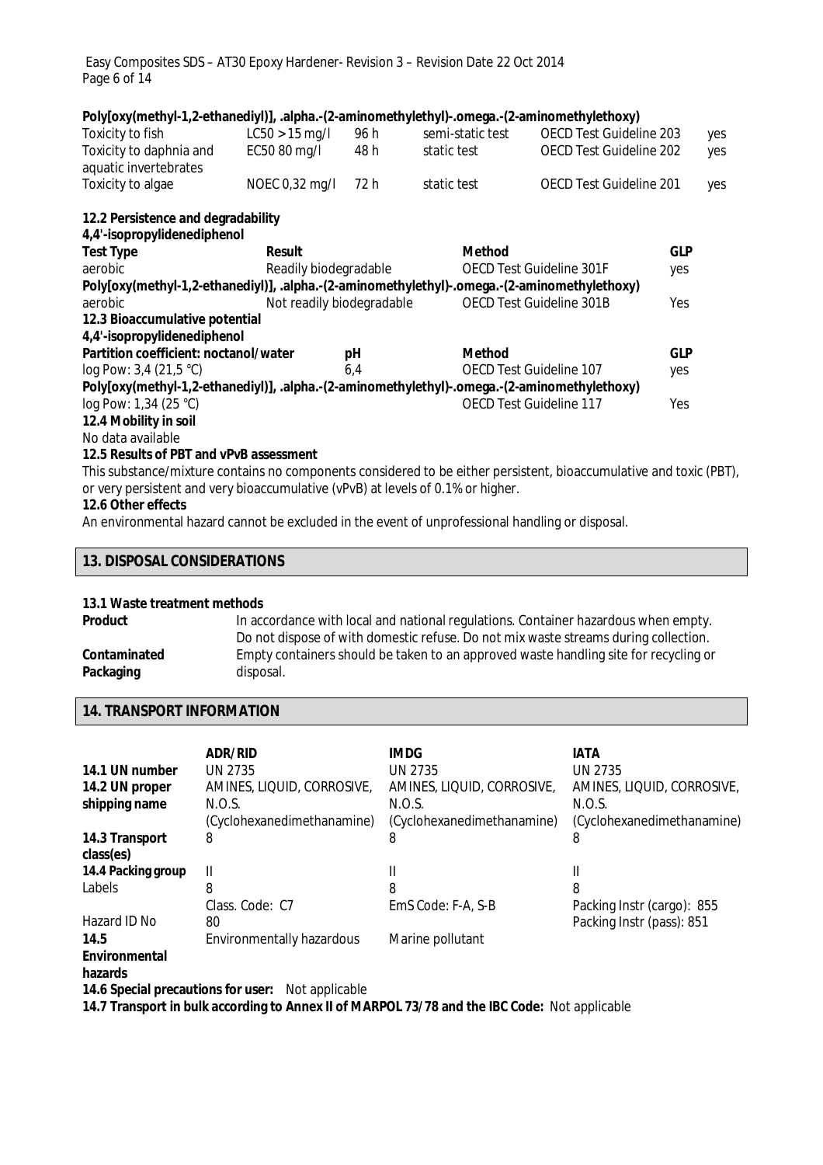Easy Composites SDS – AT30 Epoxy Hardener- Revision 3 – Revision Date 22 Oct 2014 Page 6 of 14

| Poly[oxy(methyl-1,2-ethanediyl)], .alpha.-(2-aminomethylethyl)-.omega.-(2-aminomethylethoxy) |                                    |      |                         |                                 |            |     |  |
|----------------------------------------------------------------------------------------------|------------------------------------|------|-------------------------|---------------------------------|------------|-----|--|
| Toxicity to fish                                                                             | $LC50 > 15$ mg/l                   | 96 h | semi-static test        | <b>OECD Test Guideline 203</b>  |            | yes |  |
| Toxicity to daphnia and<br>aquatic invertebrates                                             | EC50 80 mg/l                       | 48 h | static test             | <b>OECD Test Guideline 202</b>  |            | yes |  |
| Toxicity to algae                                                                            | NOEC 0,32 mg/l                     | 72 h | static test             | <b>OECD Test Guideline 201</b>  |            | yes |  |
|                                                                                              | 12.2 Persistence and degradability |      |                         |                                 |            |     |  |
| 4,4'-isopropylidenediphenol                                                                  |                                    |      |                         |                                 |            |     |  |
| <b>Test Type</b>                                                                             | <b>Result</b>                      |      | <b>Method</b>           |                                 | <b>GLP</b> |     |  |
| aerobic                                                                                      | Readily biodegradable              |      |                         | <b>OECD Test Guideline 301F</b> | yes        |     |  |
| Poly[oxy(methyl-1,2-ethanediyl)], .alpha.-(2-aminomethylethyl)-.omega.-(2-aminomethylethoxy) |                                    |      |                         |                                 |            |     |  |
| aerobic                                                                                      | Not readily biodegradable          |      |                         | <b>OECD Test Guideline 301B</b> | Yes        |     |  |
| 12.3 Bioaccumulative potential                                                               |                                    |      |                         |                                 |            |     |  |
| 4,4'-isopropylidenediphenol                                                                  |                                    |      |                         |                                 |            |     |  |
| Partition coefficient: noctanol/water                                                        |                                    | рH   | <b>Method</b>           |                                 | <b>GLP</b> |     |  |
| log Pow: $3,4$ (21,5 °C)                                                                     |                                    | 6,4  | OECD Test Guideline 107 |                                 | yes        |     |  |
| Poly[oxy(methyl-1,2-ethanediyl)], .alpha.-(2-aminomethylethyl)-.omega.-(2-aminomethylethoxy) |                                    |      |                         |                                 |            |     |  |
| log Pow: 1,34 (25 °C)                                                                        |                                    |      | OECD Test Guideline 117 |                                 | Yes        |     |  |
| 12.4 Mobility in soil                                                                        |                                    |      |                         |                                 |            |     |  |
| No data available                                                                            |                                    |      |                         |                                 |            |     |  |

### **12.5 Results of PBT and vPvB assessment**

This substance/mixture contains no components considered to be either persistent, bioaccumulative and toxic (PBT), or very persistent and very bioaccumulative (vPvB) at levels of 0.1% or higher.

### **12.6 Other effects**

An environmental hazard cannot be excluded in the event of unprofessional handling or disposal.

### **13. DISPOSAL CONSIDERATIONS**

# **13.1 Waste treatment methods**

In accordance with local and national regulations. Container hazardous when empty. Do not dispose of with domestic refuse. Do not mix waste streams during collection. **Contaminated Packaging** Empty containers should be taken to an approved waste handling site for recycling or disposal.

### **14. TRANSPORT INFORMATION**

|                                    | <b>ADR/RID</b>             | <b>IMDG</b>                | <b>IATA</b>                |
|------------------------------------|----------------------------|----------------------------|----------------------------|
| 14.1 UN number                     | UN 2735                    | <b>UN 2735</b>             | UN 2735                    |
| 14.2 UN proper                     | AMINES, LIQUID, CORROSIVE, | AMINES, LIQUID, CORROSIVE, | AMINES, LIQUID, CORROSIVE, |
| shipping name                      | N.O.S.                     | N.O.S.                     | N.O.S.                     |
|                                    | (Cyclohexanedimethanamine) | (Cyclohexanedimethanamine) | (Cyclohexanedimethanamine) |
| 14.3 Transport<br>class(es)        | 8                          | 8                          | 8                          |
| 14.4 Packing group                 | $\mathbf{I}$               | Ш                          | Ш                          |
| Labels                             | 8                          | 8                          | 8                          |
|                                    | Class, Code: C7            | EmS Code: F-A, S-B         | Packing Instr (cargo): 855 |
| Hazard ID No                       | 80                         |                            | Packing Instr (pass): 851  |
| 14.5                               | Environmentally hazardous  | Marine pollutant           |                            |
| Environmental<br>hazards           |                            |                            |                            |
| 14.6 Special precautions for user: | Not applicable             |                            |                            |

**14.7 Transport in bulk according to Annex II of MARPOL 73/78 and the IBC Code:** Not applicable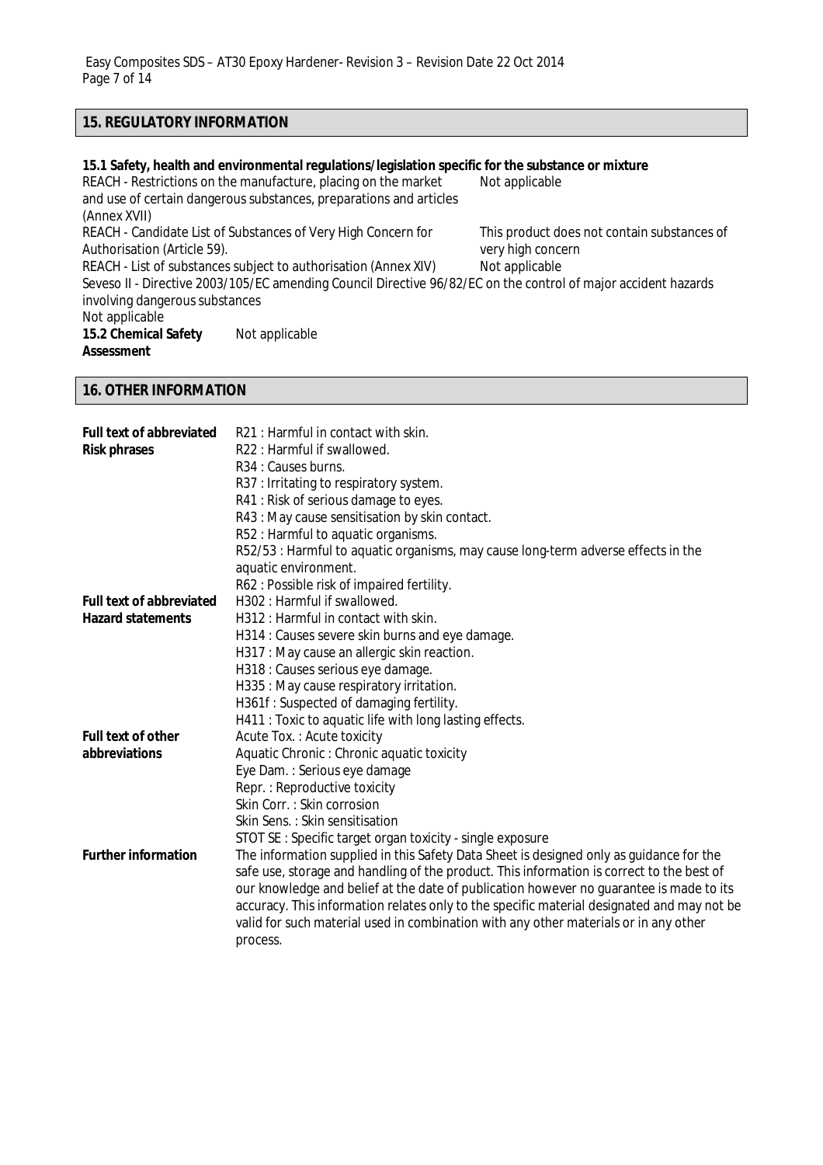# **15. REGULATORY INFORMATION**

### **15.1 Safety, health and environmental regulations/legislation specific for the substance or mixture**

REACH - Restrictions on the manufacture, placing on the market and use of certain dangerous substances, preparations and articles (Annex XVII) Not applicable REACH - Candidate List of Substances of Very High Concern for Authorisation (Article 59). This product does not contain substances of very high concern<br>Not applicable REACH - List of substances subject to authorisation (Annex XIV) Seveso II - Directive 2003/105/EC amending Council Directive 96/82/EC on the control of major accident hazards involving dangerous substances Not applicable **15.2 Chemical Safety Assessment** Not applicable

### **16. OTHER INFORMATION**

| <b>Full text of abbreviated</b> | R21 : Harmful in contact with skin.                                                        |
|---------------------------------|--------------------------------------------------------------------------------------------|
| <b>Risk phrases</b>             | R22 : Harmful if swallowed.                                                                |
|                                 | R <sub>34</sub> : Causes burns.                                                            |
|                                 | R37: Irritating to respiratory system.                                                     |
|                                 | R41 : Risk of serious damage to eyes.                                                      |
|                                 | R43 : May cause sensitisation by skin contact.                                             |
|                                 | R52 : Harmful to aquatic organisms.                                                        |
|                                 | R52/53 : Harmful to aquatic organisms, may cause long-term adverse effects in the          |
|                                 | aquatic environment.                                                                       |
|                                 | R62: Possible risk of impaired fertility.                                                  |
| <b>Full text of abbreviated</b> | H302 : Harmful if swallowed.                                                               |
| <b>Hazard statements</b>        | H312 : Harmful in contact with skin.                                                       |
|                                 | H314 : Causes severe skin burns and eye damage.                                            |
|                                 | H317 : May cause an allergic skin reaction.                                                |
|                                 | H318 : Causes serious eye damage.                                                          |
|                                 | H335: May cause respiratory irritation.                                                    |
|                                 | H361f: Suspected of damaging fertility.                                                    |
|                                 | H411 : Toxic to aquatic life with long lasting effects.                                    |
| <b>Full text of other</b>       | Acute Tox.: Acute toxicity                                                                 |
| abbreviations                   | Aquatic Chronic : Chronic aquatic toxicity                                                 |
|                                 | Eye Dam.: Serious eye damage                                                               |
|                                 | Repr.: Reproductive toxicity                                                               |
|                                 | Skin Corr.: Skin corrosion                                                                 |
|                                 | Skin Sens.: Skin sensitisation                                                             |
|                                 | STOT SE: Specific target organ toxicity - single exposure                                  |
| <b>Further information</b>      | The information supplied in this Safety Data Sheet is designed only as guidance for the    |
|                                 | safe use, storage and handling of the product. This information is correct to the best of  |
|                                 | our knowledge and belief at the date of publication however no guarantee is made to its    |
|                                 | accuracy. This information relates only to the specific material designated and may not be |
|                                 | valid for such material used in combination with any other materials or in any other       |
|                                 | process.                                                                                   |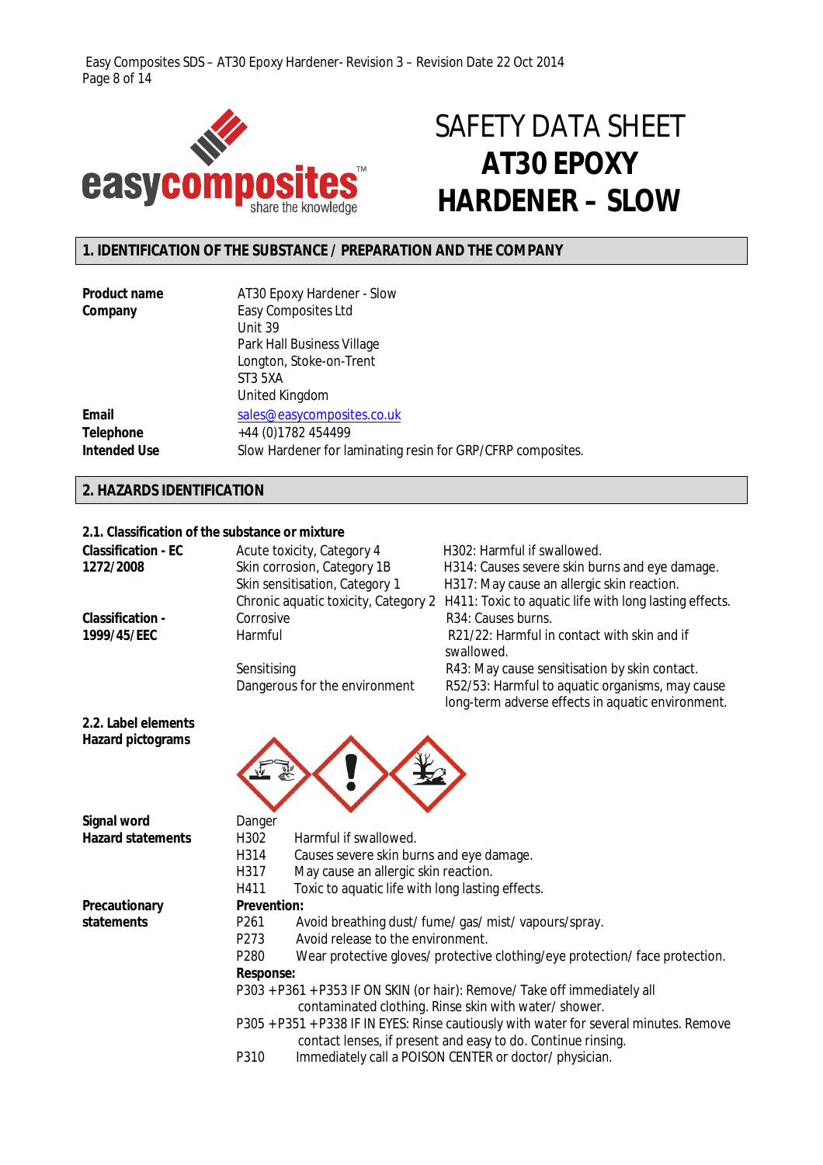Easy Composites SDS – AT30 Epoxy Hardener- Revision 3 – Revision Date 22 Oct 2014 Page 8 of 14



# SAFETY DATA SHEET **AT30 EPOXY HARDENER – SLOW**

# **1. IDENTIFICATION OF THE SUBSTANCE / PREPARATION AND THE COMPANY**

| <b>Product name</b> | AT30 Epoxy Hardener - Slow                                  |
|---------------------|-------------------------------------------------------------|
| Company             | Easy Composites Ltd                                         |
|                     | Unit 39                                                     |
|                     | Park Hall Business Village                                  |
|                     | Longton, Stoke-on-Trent                                     |
|                     | ST3 5XA                                                     |
|                     | United Kingdom                                              |
| Email               | sales@easycomposites.co.uk                                  |
| <b>Telephone</b>    | +44 (0) 1782 454499                                         |
| <b>Intended Use</b> | Slow Hardener for laminating resin for GRP/CFRP composites. |

# **2. HAZARDS IDENTIFICATION**

**2.2. Label elements Hazard pictograms**

### **2.1. Classification of the substance or mixture**

| <b>Classification - EC</b> | Acute toxicity, Category 4     | H302: Harmful if swallowed.                                                                 |
|----------------------------|--------------------------------|---------------------------------------------------------------------------------------------|
| 1272/2008                  | Skin corrosion, Category 1B    | H314: Causes severe skin burns and eye damage.                                              |
|                            | Skin sensitisation, Category 1 | H317: May cause an allergic skin reaction.                                                  |
|                            |                                | Chronic aquatic toxicity, Category 2 H411: Toxic to aquatic life with long lasting effects. |
| <b>Classification -</b>    | Corrosive                      | R34: Causes burns.                                                                          |
| 1999/45/EEC                | Harmful                        | R21/22: Harmful in contact with skin and if<br>swallowed.                                   |
|                            | Sensitising                    | R43: May cause sensitisation by skin contact.                                               |
|                            | Dangerous for the environment  | R52/53: Harmful to aquatic organisms, may cause                                             |
|                            |                                | long-term adverse effects in aquatic environment.                                           |



| Signal word              | Danger             |                                                                                        |
|--------------------------|--------------------|----------------------------------------------------------------------------------------|
| <b>Hazard statements</b> | H302               | Harmful if swallowed.                                                                  |
|                          | H314               | Causes severe skin burns and eye damage.                                               |
|                          | H317               | May cause an allergic skin reaction.                                                   |
|                          | H411               | Toxic to aquatic life with long lasting effects.                                       |
| Precautionary            | <b>Prevention:</b> |                                                                                        |
| statements               | P <sub>261</sub>   | Avoid breathing dust/fume/gas/mist/vapours/spray.                                      |
|                          | P273               | Avoid release to the environment.                                                      |
|                          | P <sub>280</sub>   | Wear protective gloves/ protective clothing/eye protection/ face protection.           |
|                          | <b>Response:</b>   |                                                                                        |
|                          |                    | P303 + P361 + P353 IF ON SKIN (or hair): Remove/ Take off immediately all              |
|                          |                    | contaminated clothing. Rinse skin with water/shower.                                   |
|                          |                    | P305 + P351 + P338 IF IN EYES: Rinse cautiously with water for several minutes. Remove |
|                          |                    | contact lenses, if present and easy to do. Continue rinsing.                           |
|                          | P310               | Immediately call a POISON CENTER or doctor/physician.                                  |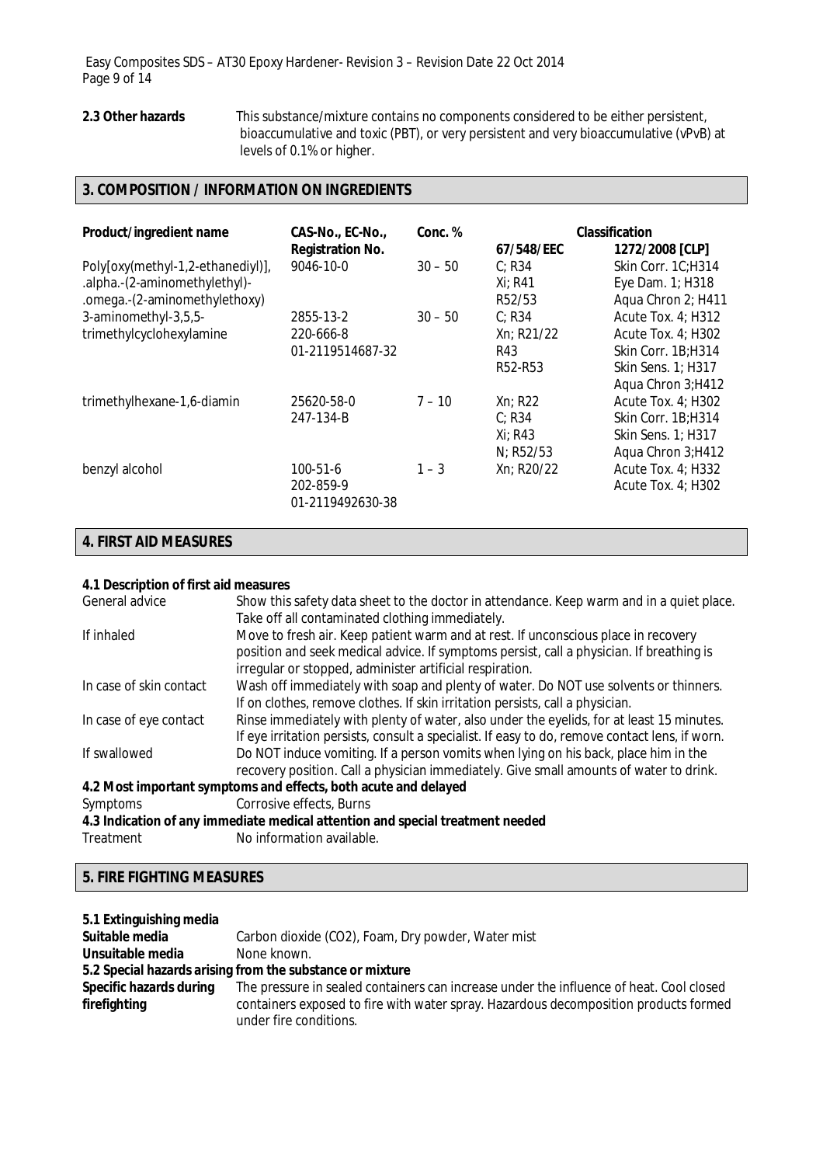2.3 Other hazards This substance/mixture contains no components considered to be either persistent, bioaccumulative and toxic (PBT), or very persistent and very bioaccumulative (vPvB) at levels of 0.1% or higher.

# **3. COMPOSITION / INFORMATION ON INGREDIENTS**

| Product/ingredient name                                                                             | CAS-No., EC-No.,<br><b>Registration No.</b> | Conc. %   | 67/548/EEC                                | <b>Classification</b><br>1272/2008 [CLP]                                                                           |
|-----------------------------------------------------------------------------------------------------|---------------------------------------------|-----------|-------------------------------------------|--------------------------------------------------------------------------------------------------------------------|
| Poly[oxy(methyl-1,2-ethanediyl)],<br>.alpha.-(2-aminomethylethyl)-<br>.omega.-(2-aminomethylethoxy) | 9046-10-0                                   | $30 - 50$ | C: R34<br>Xi: R41<br>R <sub>52</sub> /53  | Skin Corr. 1C:H314<br>Eye Dam. 1; H318<br>Aqua Chron 2; H411                                                       |
| 3-aminomethyl-3,5,5-<br>trimethylcyclohexylamine                                                    | 2855-13-2<br>220-666-8<br>01-2119514687-32  | $30 - 50$ | C: R34<br>Xn; R21/22<br>R43<br>R52-R53    | <b>Acute Tox. 4; H312</b><br>Acute Tox. 4; H302<br>Skin Corr. 1B; H314<br>Skin Sens. 1; H317<br>Aqua Chron 3; H412 |
| trimethylhexane-1,6-diamin                                                                          | 25620-58-0<br>247-134-B                     | $7 - 10$  | Xn; R22<br>C: R34<br>Xi: R43<br>N; R52/53 | Acute Tox. 4; H302<br>Skin Corr. 1B; H314<br>Skin Sens. 1; H317<br>Aqua Chron 3; H412                              |
| benzyl alcohol                                                                                      | 100-51-6<br>202-859-9<br>01-2119492630-38   | $1 - 3$   | Xn; R20/22                                | Acute Tox. 4; H332<br>Acute Tox. $4$ ; H302                                                                        |

# **4. FIRST AID MEASURES**

### **4.1 Description of first aid measures**

| Show this safety data sheet to the doctor in attendance. Keep warm and in a quiet place.<br>Take off all contaminated clothing immediately. |
|---------------------------------------------------------------------------------------------------------------------------------------------|
|                                                                                                                                             |
| Move to fresh air. Keep patient warm and at rest. If unconscious place in recovery                                                          |
| position and seek medical advice. If symptoms persist, call a physician. If breathing is                                                    |
| irregular or stopped, administer artificial respiration.                                                                                    |
| Wash off immediately with soap and plenty of water. Do NOT use solvents or thinners.                                                        |
| If on clothes, remove clothes. If skin irritation persists, call a physician.                                                               |
| Rinse immediately with plenty of water, also under the eyelids, for at least 15 minutes.                                                    |
| If eye irritation persists, consult a specialist. If easy to do, remove contact lens, if worn.                                              |
| Do NOT induce vomiting. If a person vomits when lying on his back, place him in the                                                         |
| recovery position. Call a physician immediately. Give small amounts of water to drink.                                                      |
| 4.2 Most important symptoms and effects, both acute and delayed                                                                             |
| Corrosive effects, Burns                                                                                                                    |
| 4.3 Indication of any immediate medical attention and special treatment needed                                                              |
| No information available.                                                                                                                   |
|                                                                                                                                             |

# **5. FIRE FIGHTING MEASURES**

| 5.1 Extinguishing media |                                                                                         |
|-------------------------|-----------------------------------------------------------------------------------------|
| Suitable media          | Carbon dioxide (CO2), Foam, Dry powder, Water mist                                      |
| Unsuitable media        | None known.                                                                             |
|                         | 5.2 Special hazards arising from the substance or mixture                               |
| Specific hazards during | The pressure in sealed containers can increase under the influence of heat. Cool closed |
| firefighting            | containers exposed to fire with water spray. Hazardous decomposition products formed    |
|                         | under fire conditions.                                                                  |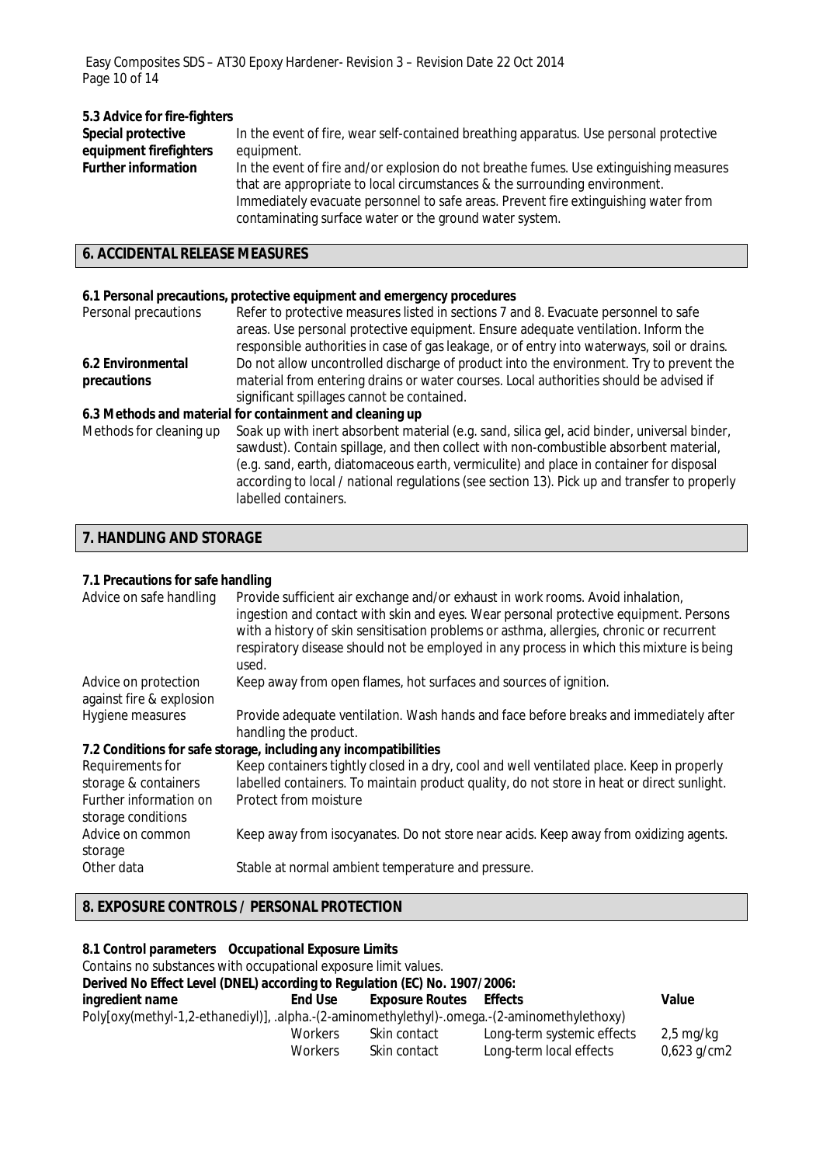# **5.3 Advice for fire-fighters**

| Special protective         | In the event of fire, wear self-contained breathing apparatus. Use personal protective |
|----------------------------|----------------------------------------------------------------------------------------|
| equipment firefighters     | equipment.                                                                             |
| <b>Further information</b> | In the event of fire and/or explosion do not breathe fumes. Use extinguishing measures |
|                            | that are appropriate to local circumstances & the surrounding environment.             |
|                            | Immediately evacuate personnel to safe areas. Prevent fire extinguishing water from    |
|                            | contaminating surface water or the ground water system.                                |

# **6. ACCIDENTAL RELEASE MEASURES**

## **6.1 Personal precautions, protective equipment and emergency procedures**

| Personal precautions    | Refer to protective measures listed in sections 7 and 8. Evacuate personnel to safe<br>areas. Use personal protective equipment. Ensure adequate ventilation. Inform the<br>responsible authorities in case of gas leakage, or of entry into waterways, soil or drains.                                                                                                                                  |
|-------------------------|----------------------------------------------------------------------------------------------------------------------------------------------------------------------------------------------------------------------------------------------------------------------------------------------------------------------------------------------------------------------------------------------------------|
| 6.2 Environmental       | Do not allow uncontrolled discharge of product into the environment. Try to prevent the                                                                                                                                                                                                                                                                                                                  |
| precautions             | material from entering drains or water courses. Local authorities should be advised if                                                                                                                                                                                                                                                                                                                   |
|                         | significant spillages cannot be contained.                                                                                                                                                                                                                                                                                                                                                               |
|                         | 6.3 Methods and material for containment and cleaning up                                                                                                                                                                                                                                                                                                                                                 |
| Methods for cleaning up | Soak up with inert absorbent material (e.g. sand, silica gel, acid binder, universal binder,<br>sawdust). Contain spillage, and then collect with non-combustible absorbent material,<br>(e.g. sand, earth, diatomaceous earth, vermiculite) and place in container for disposal<br>according to local / national regulations (see section 13). Pick up and transfer to properly<br>labelled containers. |

# **7. HANDLING AND STORAGE**

### **7.1 Precautions for safe handling**

| Advice on safe handling                                                                  | Provide sufficient air exchange and/or exhaust in work rooms. Avoid inhalation,<br>ingestion and contact with skin and eyes. Wear personal protective equipment. Persons<br>with a history of skin sensitisation problems or asthma, allergies, chronic or recurrent<br>respiratory disease should not be employed in any process in which this mixture is being<br>used. |
|------------------------------------------------------------------------------------------|---------------------------------------------------------------------------------------------------------------------------------------------------------------------------------------------------------------------------------------------------------------------------------------------------------------------------------------------------------------------------|
| Advice on protection<br>against fire & explosion                                         | Keep away from open flames, hot surfaces and sources of ignition.                                                                                                                                                                                                                                                                                                         |
| Hygiene measures                                                                         | Provide adequate ventilation. Wash hands and face before breaks and immediately after<br>handling the product.                                                                                                                                                                                                                                                            |
|                                                                                          | 7.2 Conditions for safe storage, including any incompatibilities                                                                                                                                                                                                                                                                                                          |
| Requirements for<br>storage & containers<br>Further information on<br>storage conditions | Keep containers tightly closed in a dry, cool and well ventilated place. Keep in properly<br>labelled containers. To maintain product quality, do not store in heat or direct sunlight.<br>Protect from moisture                                                                                                                                                          |
| Advice on common<br>storage                                                              | Keep away from isocyanates. Do not store near acids. Keep away from oxidizing agents.                                                                                                                                                                                                                                                                                     |
| Other data                                                                               | Stable at normal ambient temperature and pressure.                                                                                                                                                                                                                                                                                                                        |

# **8. EXPOSURE CONTROLS / PERSONAL PROTECTION**

| 8.1 Control parameters Occupational Exposure Limits                                          |                |                        |                            |                        |
|----------------------------------------------------------------------------------------------|----------------|------------------------|----------------------------|------------------------|
| Contains no substances with occupational exposure limit values.                              |                |                        |                            |                        |
| Derived No Effect Level (DNEL) according to Regulation (EC) No. 1907/2006:                   |                |                        |                            |                        |
| ingredient name                                                                              | <b>End Use</b> | <b>Exposure Routes</b> | <b>Effects</b>             | Value                  |
| Poly[oxy(methyl-1,2-ethanediyl)], .alpha.-(2-aminomethylethyl)-.omega.-(2-aminomethylethoxy) |                |                        |                            |                        |
|                                                                                              | <b>Workers</b> | Skin contact           | Long-term systemic effects | $2,5 \,\mathrm{mg/kg}$ |
|                                                                                              | <b>Workers</b> | Skin contact           | Long-term local effects    | $0,623$ g/cm2          |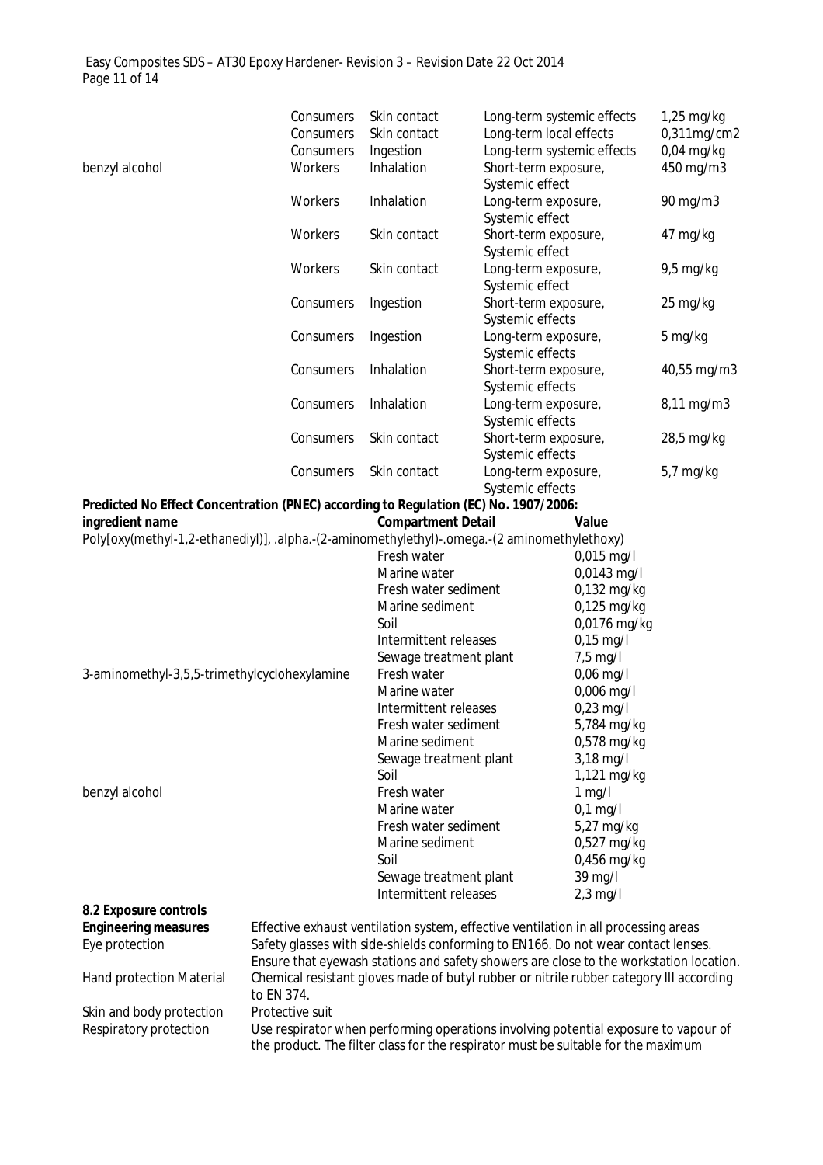Easy Composites SDS – AT30 Epoxy Hardener- Revision 3 – Revision Date 22 Oct 2014 Page 11 of 14

|                                                                                              | Consumers                                                                           | Skin contact              | Long-term systemic effects                                                              | $1,25$ mg/kg |
|----------------------------------------------------------------------------------------------|-------------------------------------------------------------------------------------|---------------------------|-----------------------------------------------------------------------------------------|--------------|
|                                                                                              | Consumers                                                                           | Skin contact              | Long-term local effects                                                                 | 0,311mg/cm2  |
|                                                                                              | Consumers                                                                           | Ingestion                 | Long-term systemic effects                                                              | $0,04$ mg/kg |
| benzyl alcohol                                                                               | Workers                                                                             | Inhalation                | Short-term exposure,                                                                    | 450 mg/m3    |
|                                                                                              |                                                                                     |                           | Systemic effect                                                                         |              |
|                                                                                              | Workers                                                                             | Inhalation                | Long-term exposure,                                                                     | 90 mg/m3     |
|                                                                                              |                                                                                     |                           | Systemic effect                                                                         |              |
|                                                                                              | Workers                                                                             | Skin contact              | Short-term exposure,                                                                    | 47 mg/kg     |
|                                                                                              |                                                                                     |                           | Systemic effect                                                                         |              |
|                                                                                              | Workers                                                                             | Skin contact              | Long-term exposure,                                                                     | $9,5$ mg/kg  |
|                                                                                              |                                                                                     |                           | Systemic effect                                                                         |              |
|                                                                                              | Consumers                                                                           | Ingestion                 | Short-term exposure,                                                                    | 25 mg/kg     |
|                                                                                              |                                                                                     |                           | Systemic effects                                                                        |              |
|                                                                                              | Consumers                                                                           | Ingestion                 | Long-term exposure,                                                                     | 5 mg/kg      |
|                                                                                              |                                                                                     |                           | Systemic effects                                                                        |              |
|                                                                                              | Consumers                                                                           | Inhalation                | Short-term exposure,                                                                    | 40,55 mg/m3  |
|                                                                                              |                                                                                     |                           | Systemic effects                                                                        |              |
|                                                                                              | Consumers                                                                           | Inhalation                | Long-term exposure,                                                                     | 8,11 mg/m3   |
|                                                                                              |                                                                                     |                           | Systemic effects                                                                        |              |
|                                                                                              | Consumers                                                                           | Skin contact              | Short-term exposure,                                                                    | 28,5 mg/kg   |
|                                                                                              |                                                                                     |                           | Systemic effects                                                                        |              |
|                                                                                              | Consumers                                                                           | Skin contact              | Long-term exposure,                                                                     | 5,7 mg/kg    |
|                                                                                              |                                                                                     |                           | Systemic effects                                                                        |              |
| Predicted No Effect Concentration (PNEC) according to Regulation (EC) No. 1907/2006:         |                                                                                     |                           |                                                                                         |              |
| ingredient name                                                                              |                                                                                     | <b>Compartment Detail</b> | Value                                                                                   |              |
| Poly[oxy(methyl-1,2-ethanediyl)], .alpha.-(2-aminomethylethyl)-.omega.-(2 aminomethylethoxy) |                                                                                     |                           |                                                                                         |              |
|                                                                                              |                                                                                     | Fresh water               | $0,015$ mg/l                                                                            |              |
|                                                                                              |                                                                                     | Marine water              | 0,0143 mg/l                                                                             |              |
|                                                                                              |                                                                                     | Fresh water sediment      | 0,132 mg/kg                                                                             |              |
|                                                                                              |                                                                                     | Marine sediment           | $0,125$ mg/kg                                                                           |              |
|                                                                                              |                                                                                     | Soil                      | 0,0176 mg/kg                                                                            |              |
|                                                                                              |                                                                                     | Intermittent releases     | $0,15$ mg/l                                                                             |              |
|                                                                                              |                                                                                     | Sewage treatment plant    | $7,5$ mg/l                                                                              |              |
| 3-aminomethyl-3,5,5-trimethylcyclohexylamine                                                 |                                                                                     | Fresh water               | $0,06$ mg/l                                                                             |              |
|                                                                                              |                                                                                     | Marine water              | 0,006 mg/l                                                                              |              |
|                                                                                              |                                                                                     | Intermittent releases     | $0,23$ mg/l                                                                             |              |
|                                                                                              |                                                                                     | Fresh water sediment      | 5,784 mg/kg                                                                             |              |
|                                                                                              |                                                                                     | Marine sediment           | 0,578 mg/kg                                                                             |              |
|                                                                                              |                                                                                     | Sewage treatment plant    | 3,18 mg/l                                                                               |              |
|                                                                                              |                                                                                     | Soil                      | 1,121 mg/kg                                                                             |              |
| benzyl alcohol                                                                               |                                                                                     | Fresh water               | $1$ mg/l                                                                                |              |
|                                                                                              |                                                                                     | Marine water              | $0,1$ mg/l                                                                              |              |
|                                                                                              |                                                                                     | Fresh water sediment      | 5,27 mg/kg                                                                              |              |
|                                                                                              |                                                                                     | Marine sediment           | 0,527 mg/kg                                                                             |              |
|                                                                                              |                                                                                     | Soil                      | 0,456 mg/kg                                                                             |              |
|                                                                                              |                                                                                     | Sewage treatment plant    | 39 mg/l                                                                                 |              |
|                                                                                              |                                                                                     | Intermittent releases     | $2,3$ mg/l                                                                              |              |
| 8.2 Exposure controls                                                                        |                                                                                     |                           |                                                                                         |              |
| <b>Engineering measures</b>                                                                  |                                                                                     |                           | Effective exhaust ventilation system, effective ventilation in all processing areas     |              |
| Eye protection                                                                               |                                                                                     |                           | Safety glasses with side-shields conforming to EN166. Do not wear contact lenses.       |              |
|                                                                                              |                                                                                     |                           | Ensure that eyewash stations and safety showers are close to the workstation location.  |              |
| Hand protection Material                                                                     |                                                                                     |                           | Chemical resistant gloves made of butyl rubber or nitrile rubber category III according |              |
|                                                                                              | to EN 374.                                                                          |                           |                                                                                         |              |
| Skin and body protection                                                                     | Protective suit                                                                     |                           |                                                                                         |              |
| Respiratory protection                                                                       | Use respirator when performing operations involving potential exposure to vapour of |                           |                                                                                         |              |
|                                                                                              |                                                                                     |                           | the product. The filter class for the respirator must be suitable for the maximum       |              |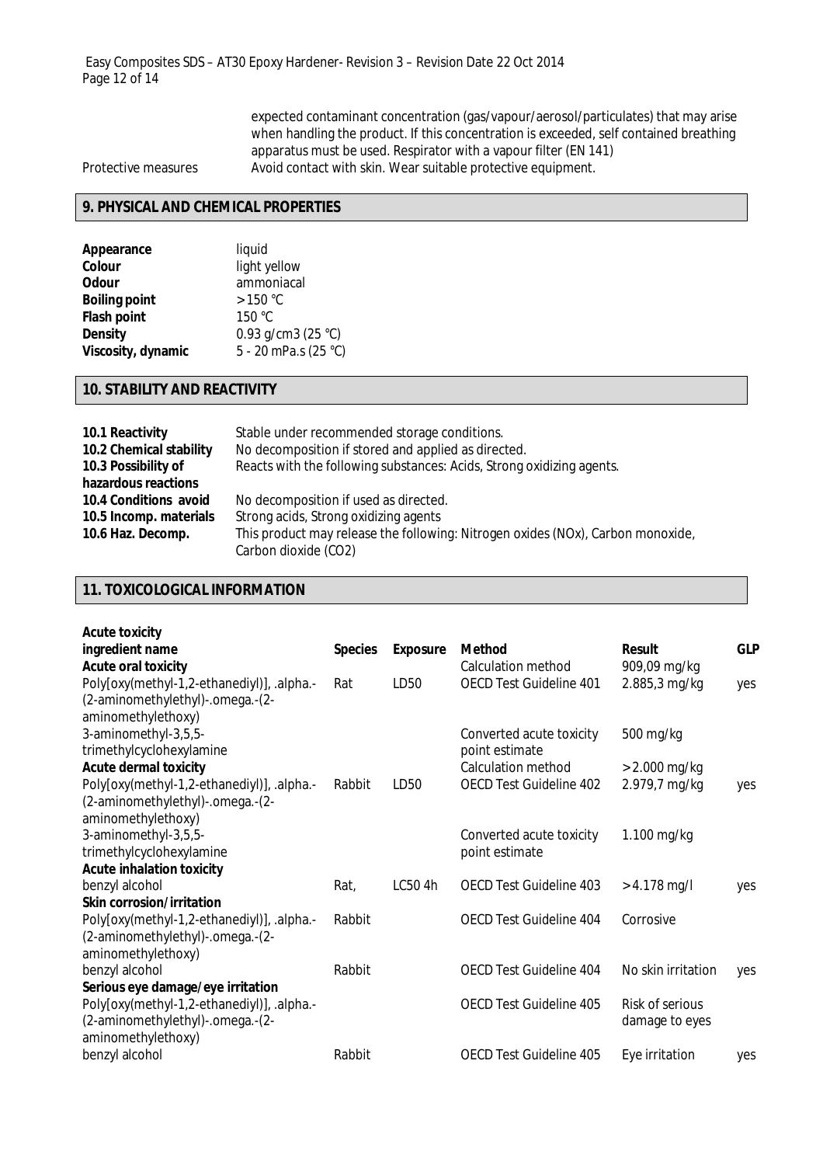expected contaminant concentration (gas/vapour/aerosol/particulates) that may arise when handling the product. If this concentration is exceeded, self contained breathing apparatus must be used. Respirator with a vapour filter (EN 141) Protective measures Avoid contact with skin. Wear suitable protective equipment.

# **9. PHYSICAL AND CHEMICAL PROPERTIES**

| liquid                |
|-----------------------|
| light yellow          |
| ammoniacal            |
| >150 °C               |
| 150 °C                |
| 0.93 g/cm3 (25 $°C$ ) |
| 5 - 20 mPa.s (25 °C)  |
|                       |

# **10. STABILITY AND REACTIVITY**

| 10.1 Reactivity         | Stable under recommended storage conditions.                                    |
|-------------------------|---------------------------------------------------------------------------------|
| 10.2 Chemical stability | No decomposition if stored and applied as directed.                             |
| 10.3 Possibility of     | Reacts with the following substances: Acids, Strong oxidizing agents.           |
| hazardous reactions     |                                                                                 |
| 10.4 Conditions avoid   | No decomposition if used as directed.                                           |
| 10.5 Incomp. materials  | Strong acids, Strong oxidizing agents                                           |
| 10.6 Haz. Decomp.       | This product may release the following: Nitrogen oxides (NOx), Carbon monoxide, |
|                         | Carbon dioxide (CO2)                                                            |

# **11. TOXICOLOGICAL INFORMATION**

| <b>Acute toxicity</b>                      |                |                 |                                |                    |            |
|--------------------------------------------|----------------|-----------------|--------------------------------|--------------------|------------|
| ingredient name                            | <b>Species</b> | <b>Exposure</b> | Method                         | <b>Result</b>      | <b>GLP</b> |
| <b>Acute oral toxicity</b>                 |                |                 | Calculation method             | 909,09 mg/kg       |            |
| Poly[oxy(methyl-1,2-ethanediyl)], .alpha.- | Rat            | LD50            | <b>OECD Test Guideline 401</b> | 2.885,3 mg/kg      | yes        |
| (2-aminomethylethyl)-.omega.-(2-           |                |                 |                                |                    |            |
| aminomethylethoxy)                         |                |                 |                                |                    |            |
| 3-aminomethyl-3,5,5-                       |                |                 | Converted acute toxicity       | 500 mg/kg          |            |
| trimethylcyclohexylamine                   |                |                 | point estimate                 |                    |            |
| <b>Acute dermal toxicity</b>               |                |                 | Calculation method             | $> 2.000$ mg/kg    |            |
| Poly[oxy(methyl-1,2-ethanediyl)], .alpha.- | Rabbit         | LD50            | <b>OECD Test Guideline 402</b> | 2.979,7 mg/kg      | yes        |
| (2-aminomethylethyl)-.omega.-(2-           |                |                 |                                |                    |            |
| aminomethylethoxy)                         |                |                 |                                |                    |            |
| 3-aminomethyl-3,5,5-                       |                |                 | Converted acute toxicity       | 1.100 mg/kg        |            |
| trimethylcyclohexylamine                   |                |                 | point estimate                 |                    |            |
| <b>Acute inhalation toxicity</b>           |                |                 |                                |                    |            |
| benzyl alcohol                             | Rat,           | LC50 4h         | OECD Test Guideline 403        | $> 4.178$ mg/l     | yes        |
| <b>Skin corrosion/irritation</b>           |                |                 |                                |                    |            |
| Poly[oxy(methyl-1,2-ethanediyl)], .alpha.- | Rabbit         |                 | OECD Test Guideline 404        | Corrosive          |            |
| (2-aminomethylethyl)-.omega.-(2-           |                |                 |                                |                    |            |
| aminomethylethoxy)                         |                |                 |                                |                    |            |
| benzyl alcohol                             | Rabbit         |                 | OECD Test Guideline 404        | No skin irritation | yes        |
| Serious eye damage/eye irritation          |                |                 |                                |                    |            |
| Poly[oxy(methyl-1,2-ethanediyl)], .alpha.- |                |                 | OECD Test Guideline 405        | Risk of serious    |            |
| (2-aminomethylethyl)-.omega.-(2-           |                |                 |                                | damage to eyes     |            |
| aminomethylethoxy)                         |                |                 |                                |                    |            |
| benzyl alcohol                             | Rabbit         |                 | OECD Test Guideline 405        | Eye irritation     | yes        |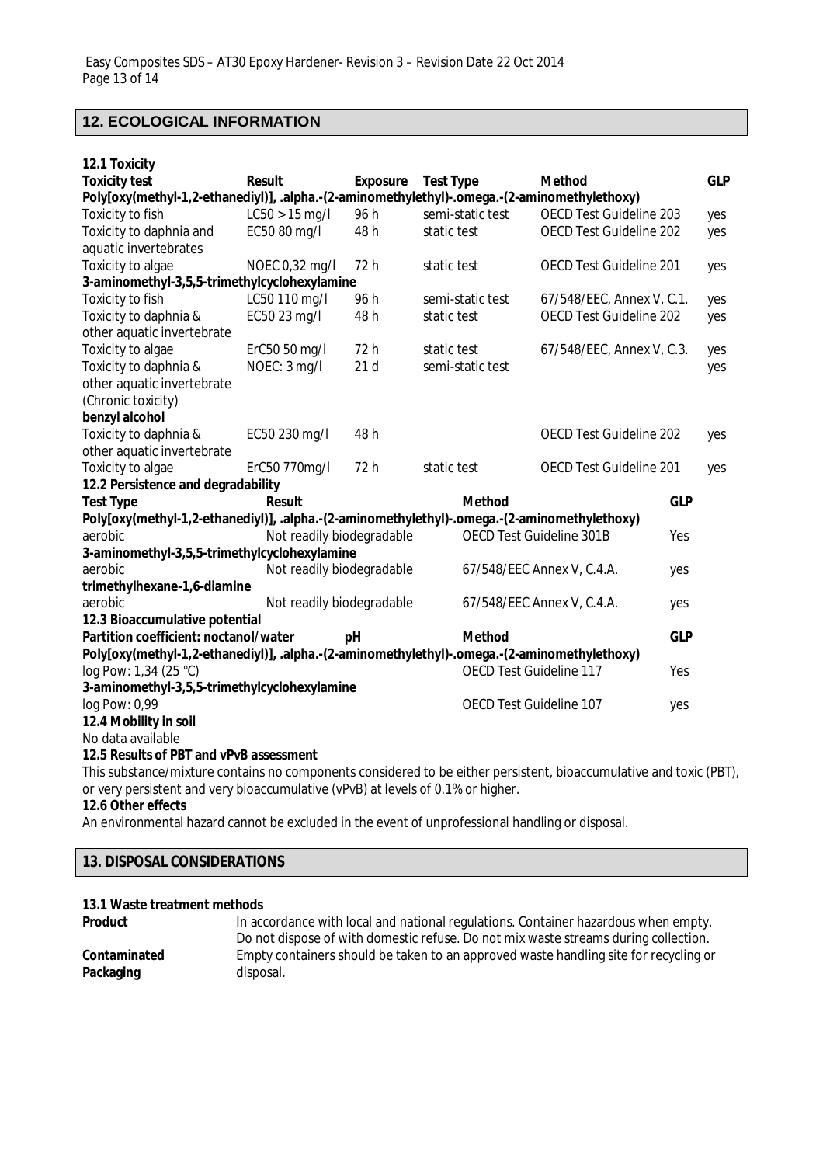# **12. ECOLOGICAL INFORMATION**

| 12.1 Toxicity                                                                                                      |                           |                 |                  |                                |            |            |
|--------------------------------------------------------------------------------------------------------------------|---------------------------|-----------------|------------------|--------------------------------|------------|------------|
| <b>Toxicity test</b>                                                                                               | <b>Result</b>             | <b>Exposure</b> | <b>Test Type</b> | <b>Method</b>                  |            | <b>GLP</b> |
| Poly[oxy(methyl-1,2-ethanediyl)], .alpha.-(2-aminomethylethyl)-.omega.-(2-aminomethylethoxy)                       |                           |                 |                  |                                |            |            |
| Toxicity to fish                                                                                                   | $LC50 > 15$ mg/l          | 96 h            | semi-static test | <b>OECD Test Guideline 203</b> |            | yes        |
| Toxicity to daphnia and                                                                                            | EC50 80 mg/l              | 48h             | static test      | OECD Test Guideline 202        |            | yes        |
| aquatic invertebrates                                                                                              |                           |                 |                  |                                |            |            |
| Toxicity to algae                                                                                                  | NOEC 0,32 mg/l            | 72 h            | static test      | OECD Test Guideline 201        |            | yes        |
| 3-aminomethyl-3,5,5-trimethylcyclohexylamine                                                                       |                           |                 |                  |                                |            |            |
| Toxicity to fish                                                                                                   | LC50 110 mg/l             | 96 h            | semi-static test | 67/548/EEC, Annex V, C.1.      |            | yes        |
| Toxicity to daphnia &                                                                                              | EC50 23 mg/l              | 48h             | static test      | OECD Test Guideline 202        |            | yes        |
| other aquatic invertebrate                                                                                         |                           |                 |                  |                                |            |            |
| Toxicity to algae                                                                                                  | ErC50 50 mg/l             | 72 h            | static test      | 67/548/EEC, Annex V, C.3.      |            | yes        |
| Toxicity to daphnia &                                                                                              | NOEC: 3 mg/l              | 21d             | semi-static test |                                |            | yes        |
| other aquatic invertebrate                                                                                         |                           |                 |                  |                                |            |            |
| (Chronic toxicity)                                                                                                 |                           |                 |                  |                                |            |            |
| benzyl alcohol                                                                                                     |                           |                 |                  |                                |            |            |
| Toxicity to daphnia &                                                                                              | EC50 230 mg/l             | 48h             |                  | OECD Test Guideline 202        |            | yes        |
| other aquatic invertebrate                                                                                         |                           |                 |                  |                                |            |            |
| Toxicity to algae                                                                                                  | ErC50 770mg/l             | 72h             | static test      | OECD Test Guideline 201        |            | yes        |
| 12.2 Persistence and degradability                                                                                 |                           |                 |                  |                                |            |            |
| <b>Test Type</b>                                                                                                   | <b>Result</b>             |                 | <b>Method</b>    |                                | <b>GLP</b> |            |
| Poly[oxy(methyl-1,2-ethanediyl)], .alpha.-(2-aminomethylethyl)-.omega.-(2-aminomethylethoxy)                       |                           |                 |                  |                                |            |            |
| aerobic                                                                                                            | Not readily biodegradable |                 |                  | OECD Test Guideline 301B       | Yes        |            |
| 3-aminomethyl-3,5,5-trimethylcyclohexylamine                                                                       |                           |                 |                  |                                |            |            |
| aerobic                                                                                                            | Not readily biodegradable |                 |                  | 67/548/EEC Annex V, C.4.A.     | yes        |            |
| trimethylhexane-1,6-diamine                                                                                        |                           |                 |                  |                                |            |            |
| aerobic                                                                                                            | Not readily biodegradable |                 |                  | 67/548/EEC Annex V, C.4.A.     | yes        |            |
| 12.3 Bioaccumulative potential                                                                                     |                           |                 |                  |                                |            |            |
| Partition coefficient: noctanol/water                                                                              |                           | рH              | <b>Method</b>    |                                | <b>GLP</b> |            |
| Poly[oxy(methyl-1,2-ethanediyl)], .alpha.-(2-aminomethylethyl)-.omega.-(2-aminomethylethoxy)                       |                           |                 |                  |                                |            |            |
| log Pow: 1,34 (25 °C)                                                                                              |                           |                 |                  | OECD Test Guideline 117        | Yes        |            |
| 3-aminomethyl-3,5,5-trimethylcyclohexylamine                                                                       |                           |                 |                  |                                |            |            |
| log Pow: 0,99                                                                                                      |                           |                 |                  | OECD Test Guideline 107        | yes        |            |
| 12.4 Mobility in soil                                                                                              |                           |                 |                  |                                |            |            |
| No data available                                                                                                  |                           |                 |                  |                                |            |            |
| 12.5 Results of PBT and vPvB assessment                                                                            |                           |                 |                  |                                |            |            |
| This substance/mixture contains no components considered to be either persistent, bioaccumulative and toxic (PBT), |                           |                 |                  |                                |            |            |
| or very persistent and very bioaccumulative (vPvB) at levels of 0.1% or higher.                                    |                           |                 |                  |                                |            |            |

**12.6 Other effects**

An environmental hazard cannot be excluded in the event of unprofessional handling or disposal.

# **13. DISPOSAL CONSIDERATIONS**

### **13.1 Waste treatment methods**

| <b>Product</b> | In accordance with local and national regulations. Container hazardous when empty.   |
|----------------|--------------------------------------------------------------------------------------|
|                | Do not dispose of with domestic refuse. Do not mix waste streams during collection.  |
| Contaminated   | Empty containers should be taken to an approved waste handling site for recycling or |
| Packaging      | disposal.                                                                            |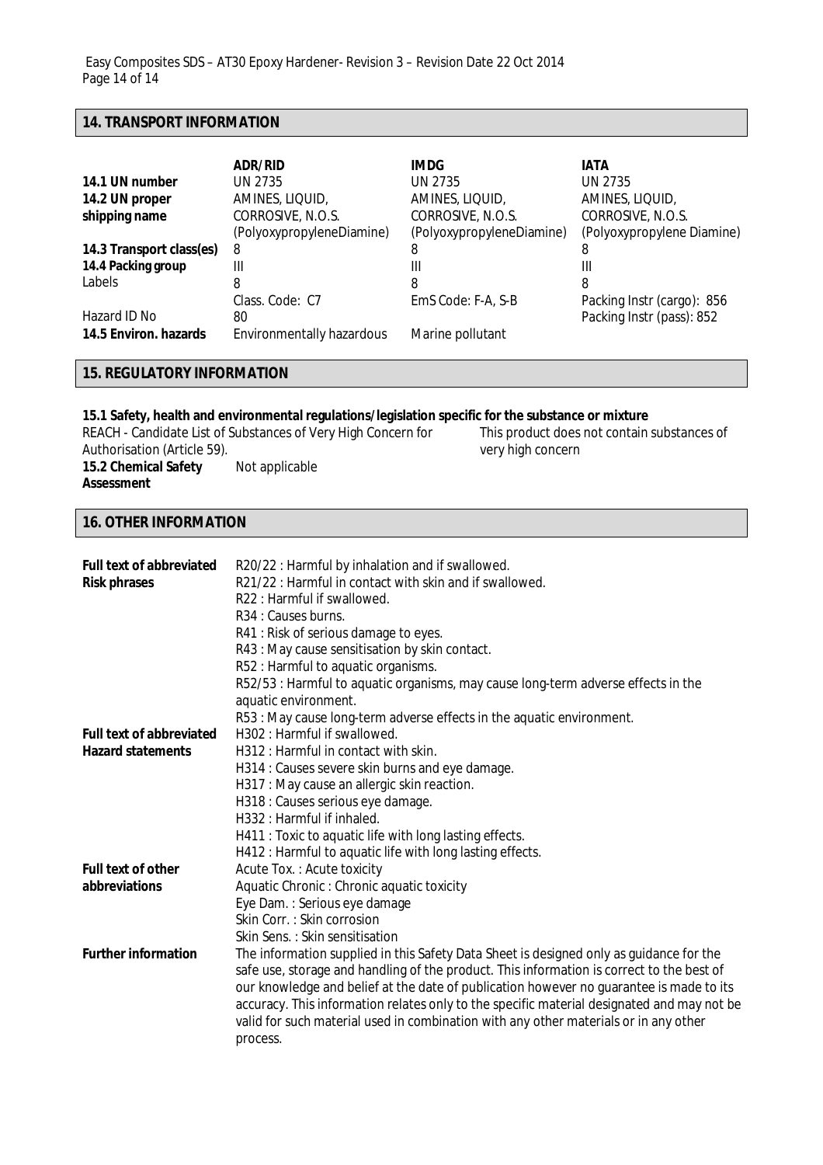### **14. TRANSPORT INFORMATION**

|                          | <b>ADR/RID</b>                   | IMDG.                     | <b>IATA</b>                |
|--------------------------|----------------------------------|---------------------------|----------------------------|
| 14.1 UN number           | UN 2735                          | UN 2735                   | UN 2735                    |
| 14.2 UN proper           | AMINES, LIQUID,                  | AMINES, LIQUID,           | AMINES, LIQUID,            |
| shipping name            | CORROSIVE, N.O.S.                | CORROSIVE, N.O.S.         | CORROSIVE, N.O.S.          |
|                          | (PolyoxypropyleneDiamine)        | (PolyoxypropyleneDiamine) | (Polyoxypropylene Diamine) |
| 14.3 Transport class(es) | 8                                | 8                         | 8                          |
| 14.4 Packing group       | Ш                                | Ш                         | Ш                          |
| Labels                   | 8                                | 8                         | 8                          |
|                          | Class, Code: C7                  | EmS Code: F-A, S-B        | Packing Instr (cargo): 856 |
| Hazard ID No             | 80                               |                           | Packing Instr (pass): 852  |
| 14.5 Environ. hazards    | <b>Environmentally hazardous</b> | Marine pollutant          |                            |

## **15. REGULATORY INFORMATION**

# **15.1 Safety, health and environmental regulations/legislation specific for the substance or mixture**

REACH - Candidate List of Substances of Very High Concern for Authorisation (Article 59). **15.2 Chemical Safety Assessment** Not applicable

This product does not contain substances of very high concern

### **16. OTHER INFORMATION**

| <b>Full text of abbreviated</b><br><b>Risk phrases</b> | R20/22 : Harmful by inhalation and if swallowed.<br>R21/22 : Harmful in contact with skin and if swallowed.<br>R22 : Harmful if swallowed.<br>R <sub>34</sub> : Causes burns.<br>R41 : Risk of serious damage to eyes.<br>R43 : May cause sensitisation by skin contact.<br>R52 : Harmful to aquatic organisms.<br>R52/53 : Harmful to aquatic organisms, may cause long-term adverse effects in the<br>aquatic environment.<br>R53 : May cause long-term adverse effects in the aquatic environment. |
|--------------------------------------------------------|-------------------------------------------------------------------------------------------------------------------------------------------------------------------------------------------------------------------------------------------------------------------------------------------------------------------------------------------------------------------------------------------------------------------------------------------------------------------------------------------------------|
| <b>Full text of abbreviated</b>                        | H302 : Harmful if swallowed.                                                                                                                                                                                                                                                                                                                                                                                                                                                                          |
| <b>Hazard statements</b>                               | H312 : Harmful in contact with skin.                                                                                                                                                                                                                                                                                                                                                                                                                                                                  |
|                                                        | H314 : Causes severe skin burns and eye damage.                                                                                                                                                                                                                                                                                                                                                                                                                                                       |
|                                                        | H317 : May cause an allergic skin reaction.                                                                                                                                                                                                                                                                                                                                                                                                                                                           |
|                                                        | H318 : Causes serious eye damage.                                                                                                                                                                                                                                                                                                                                                                                                                                                                     |
|                                                        | H332: Harmful if inhaled.                                                                                                                                                                                                                                                                                                                                                                                                                                                                             |
|                                                        | H411 : Toxic to aquatic life with long lasting effects.                                                                                                                                                                                                                                                                                                                                                                                                                                               |
|                                                        | H412 : Harmful to aquatic life with long lasting effects.                                                                                                                                                                                                                                                                                                                                                                                                                                             |
| <b>Full text of other</b>                              | Acute Tox.: Acute toxicity                                                                                                                                                                                                                                                                                                                                                                                                                                                                            |
| abbreviations                                          | Aquatic Chronic: Chronic aquatic toxicity                                                                                                                                                                                                                                                                                                                                                                                                                                                             |
|                                                        | Eye Dam.: Serious eye damage                                                                                                                                                                                                                                                                                                                                                                                                                                                                          |
|                                                        | Skin Corr.: Skin corrosion                                                                                                                                                                                                                                                                                                                                                                                                                                                                            |
|                                                        | Skin Sens.: Skin sensitisation                                                                                                                                                                                                                                                                                                                                                                                                                                                                        |
| <b>Further information</b>                             | The information supplied in this Safety Data Sheet is designed only as guidance for the<br>safe use, storage and handling of the product. This information is correct to the best of<br>our knowledge and belief at the date of publication however no guarantee is made to its<br>accuracy. This information relates only to the specific material designated and may not be<br>valid for such material used in combination with any other materials or in any other<br>process.                     |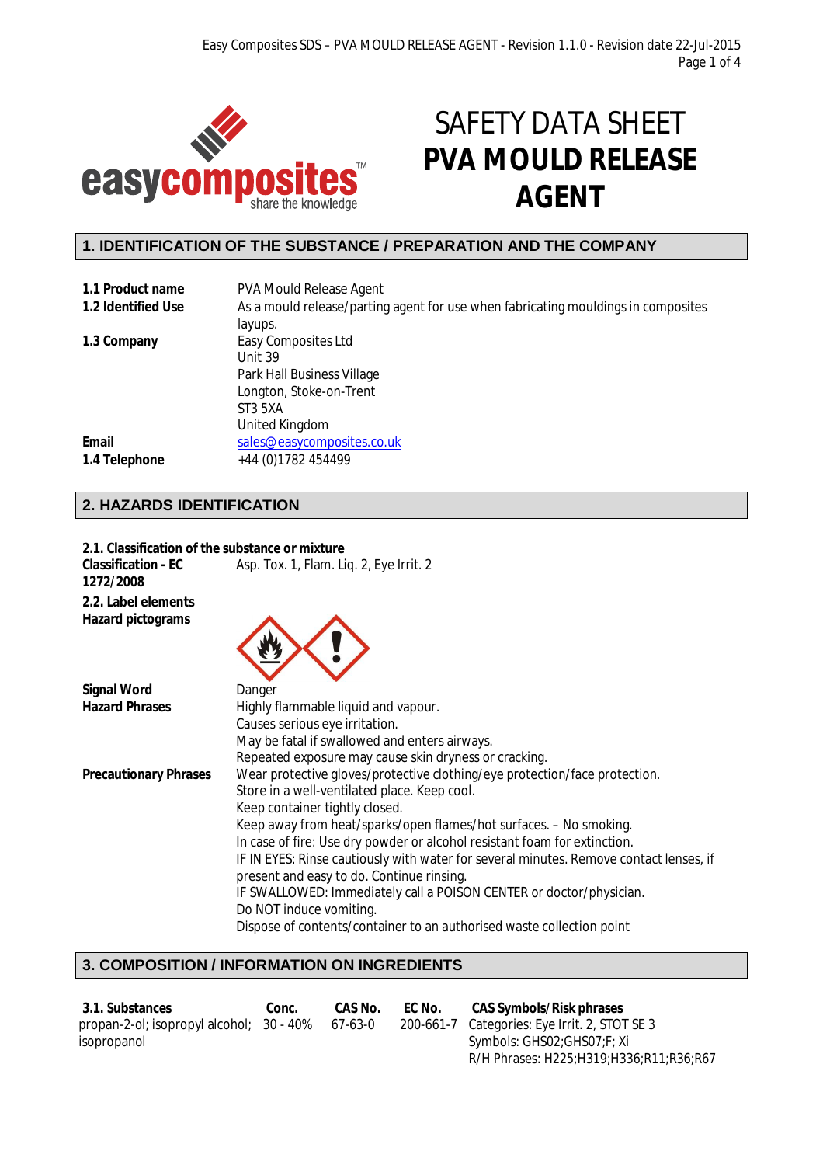

# SAFETY DATA SHEET **PVA MOULD RELEASE AGENT**

# **1. IDENTIFICATION OF THE SUBSTANCE / PREPARATION AND THE COMPANY**

| 1.1 Product name   | <b>PVA Mould Release Agent</b>                                                    |
|--------------------|-----------------------------------------------------------------------------------|
| 1.2 Identified Use | As a mould release/parting agent for use when fabricating mouldings in composites |
|                    | layups.                                                                           |
| 1.3 Company        | Easy Composites Ltd                                                               |
|                    | Unit 39                                                                           |
|                    | Park Hall Business Village                                                        |
|                    | Longton, Stoke-on-Trent                                                           |
|                    | ST3 5XA                                                                           |
|                    | United Kingdom                                                                    |
| Email              | sales@easycomposites.co.uk                                                        |
| 1.4 Telephone      | +44 (0) 1782 454499                                                               |

# **2. HAZARDS IDENTIFICATION**

| 2.1. Classification of the substance or mixture |                                                                                                                                     |
|-------------------------------------------------|-------------------------------------------------------------------------------------------------------------------------------------|
| <b>Classification - EC</b><br>1272/2008         | Asp. Tox. 1, Flam. Liq. 2, Eye Irrit. 2                                                                                             |
| 2.2. Label elements<br><b>Hazard pictograms</b> |                                                                                                                                     |
| <b>Signal Word</b>                              | Danger                                                                                                                              |
| <b>Hazard Phrases</b>                           | Highly flammable liquid and vapour.                                                                                                 |
|                                                 | Causes serious eye irritation.                                                                                                      |
|                                                 | May be fatal if swallowed and enters airways.                                                                                       |
|                                                 | Repeated exposure may cause skin dryness or cracking.                                                                               |
| <b>Precautionary Phrases</b>                    | Wear protective gloves/protective clothing/eye protection/face protection.                                                          |
|                                                 | Store in a well-ventilated place. Keep cool.                                                                                        |
|                                                 | Keep container tightly closed.                                                                                                      |
|                                                 | Keep away from heat/sparks/open flames/hot surfaces. - No smoking.                                                                  |
|                                                 | In case of fire: Use dry powder or alcohol resistant foam for extinction.                                                           |
|                                                 | IF IN EYES: Rinse cautiously with water for several minutes. Remove contact lenses, if<br>present and easy to do. Continue rinsing. |
|                                                 | IF SWALLOWED: Immediately call a POISON CENTER or doctor/physician.                                                                 |
|                                                 | Do NOT induce vomiting.                                                                                                             |
|                                                 | Dispose of contents/container to an authorised waste collection point                                                               |

# **3. COMPOSITION / INFORMATION ON INGREDIENTS**

| 3.1. Substances                                  | Conc. | CAS No. | EC No. | <b>CAS Symbols/Risk phrases</b>               |
|--------------------------------------------------|-------|---------|--------|-----------------------------------------------|
| propan-2-ol; isopropyl alcohol; 30 - 40% 67-63-0 |       |         |        | 200-661-7 Categories: Eye Irrit. 2, STOT SE 3 |
| isopropanol                                      |       |         |        | Symbols: GHS02;GHS07;F; Xi                    |
|                                                  |       |         |        | R/H Phrases: H225;H319;H336;R11;R36;R67       |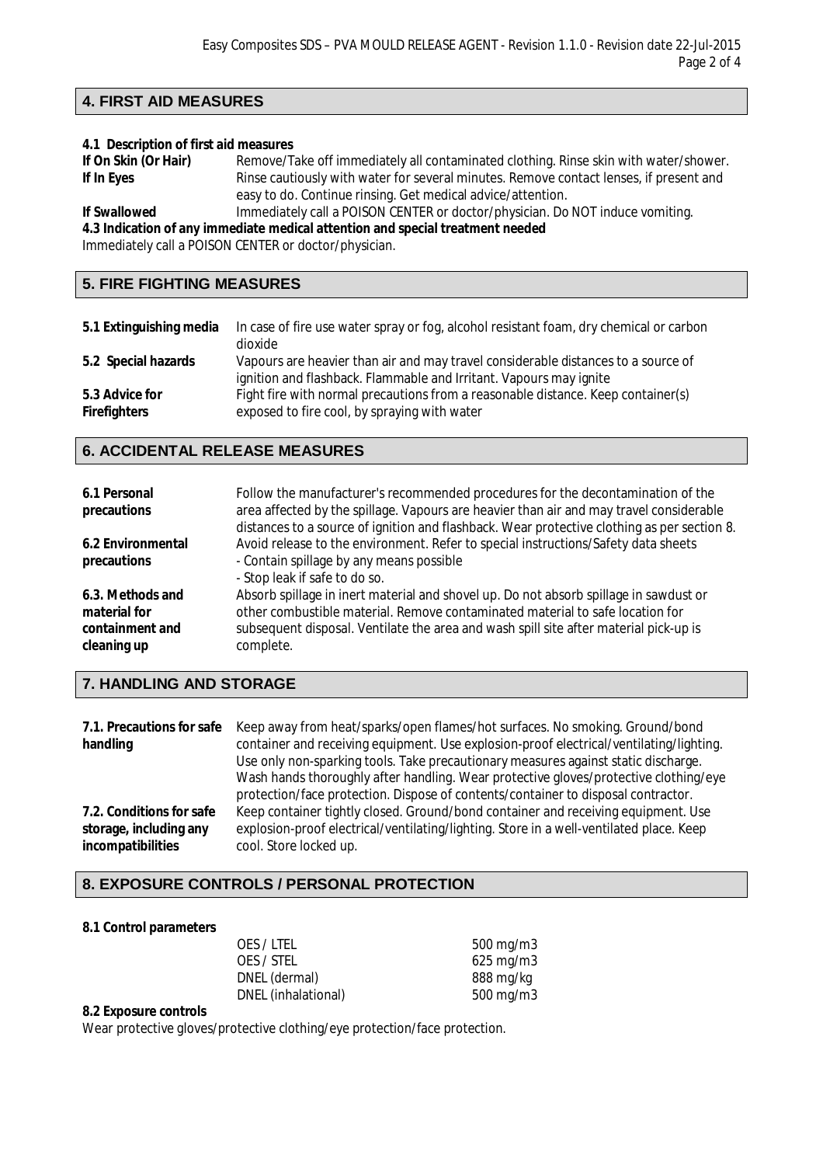# **4. FIRST AID MEASURES**

### **4.1 Description of first aid measures**

| If On Skin (Or Hair) | Remove/Take off immediately all contaminated clothing. Rinse skin with water/shower.   |
|----------------------|----------------------------------------------------------------------------------------|
| If In Eyes           | Rinse cautiously with water for several minutes. Remove contact lenses, if present and |
|                      | easy to do. Continue rinsing. Get medical advice/attention.                            |
| <b>If Curallowed</b> | Immodiately call a DOISON CENTER or doctor/physician. Do NOT induce yomiting           |

**If Swallowed** Immediately call a POISON CENTER or doctor/physician. Do NOT induce vomiting. **4.3 Indication of any immediate medical attention and special treatment needed**

Immediately call a POISON CENTER or doctor/physician.

# **5. FIRE FIGHTING MEASURES**

| 5.1 Extinguishing media               | In case of fire use water spray or fog, alcohol resistant foam, dry chemical or carbon<br>dioxide                                                       |
|---------------------------------------|---------------------------------------------------------------------------------------------------------------------------------------------------------|
| 5.2 Special hazards                   | Vapours are heavier than air and may travel considerable distances to a source of<br>ignition and flashback. Flammable and Irritant. Vapours may ignite |
| 5.3 Advice for<br><b>Firefighters</b> | Fight fire with normal precautions from a reasonable distance. Keep container(s)<br>exposed to fire cool, by spraying with water                        |

# **6. ACCIDENTAL RELEASE MEASURES**

| 6.1 Personal<br>precautions                                        | Follow the manufacturer's recommended procedures for the decontamination of the<br>area affected by the spillage. Vapours are heavier than air and may travel considerable<br>distances to a source of ignition and flashback. Wear protective clothing as per section 8.    |
|--------------------------------------------------------------------|------------------------------------------------------------------------------------------------------------------------------------------------------------------------------------------------------------------------------------------------------------------------------|
| 6.2 Environmental<br>precautions                                   | Avoid release to the environment. Refer to special instructions/Safety data sheets<br>- Contain spillage by any means possible<br>- Stop leak if safe to do so.                                                                                                              |
| 6.3. Methods and<br>material for<br>containment and<br>cleaning up | Absorb spillage in inert material and shovel up. Do not absorb spillage in sawdust or<br>other combustible material. Remove contaminated material to safe location for<br>subsequent disposal. Ventilate the area and wash spill site after material pick-up is<br>complete. |

# **7. HANDLING AND STORAGE**

|                          | 7.1. Precautions for safe Keep away from heat/sparks/open flames/hot surfaces. No smoking. Ground/bond |
|--------------------------|--------------------------------------------------------------------------------------------------------|
| handling                 | container and receiving equipment. Use explosion-proof electrical/ventilating/lighting.                |
|                          | Use only non-sparking tools. Take precautionary measures against static discharge.                     |
|                          | Wash hands thoroughly after handling. Wear protective gloves/protective clothing/eye                   |
|                          | protection/face protection. Dispose of contents/container to disposal contractor.                      |
| 7.2. Conditions for safe | Keep container tightly closed. Ground/bond container and receiving equipment. Use                      |
| storage, including any   | explosion-proof electrical/ventilating/lighting. Store in a well-ventilated place. Keep                |
| incompatibilities        | cool. Store locked up.                                                                                 |

# **8. EXPOSURE CONTROLS / PERSONAL PROTECTION**

### **8.1 Control parameters**

| OES/LTEL            | 500 mg/m $3$   |
|---------------------|----------------|
| OES / STEL          | $625$ mg/m $3$ |
| DNEL (dermal)       | 888 mg/kg      |
| DNEL (inhalational) | 500 mg/m $3$   |

### **8.2 Exposure controls**

Wear protective gloves/protective clothing/eye protection/face protection.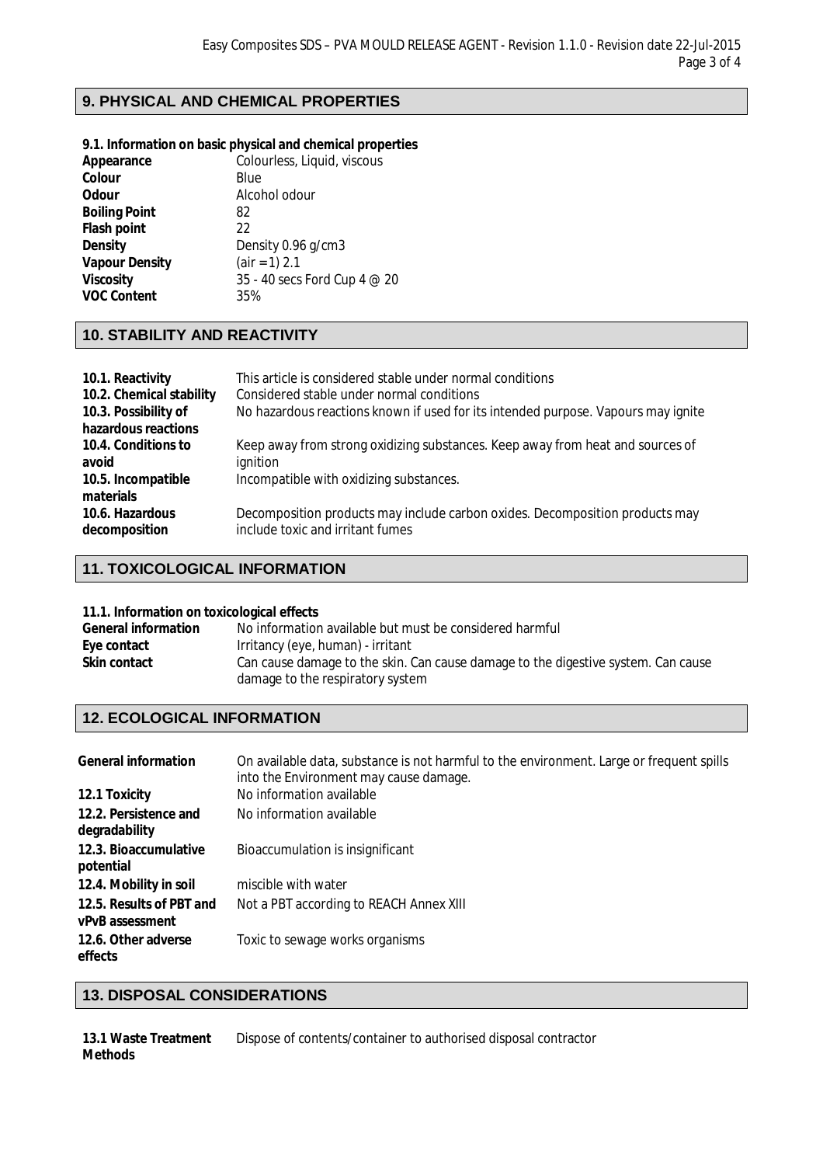# **9. PHYSICAL AND CHEMICAL PROPERTIES**

### **9.1. Information on basic physical and chemical properties**

| Appearance            | Colourless, Liquid, viscous  |
|-----------------------|------------------------------|
| Colour                | Blue                         |
| <b>Odour</b>          | Alcohol odour                |
| <b>Boiling Point</b>  | 82                           |
| <b>Flash point</b>    | 22                           |
| <b>Density</b>        | Density 0.96 g/cm3           |
| <b>Vapour Density</b> | $air = 1) 2.1$               |
| <b>Viscosity</b>      | 35 - 40 secs Ford Cup 4 @ 20 |
| <b>VOC Content</b>    | 35%                          |
|                       |                              |

# **10. STABILITY AND REACTIVITY**

| This article is considered stable under normal conditions<br>Considered stable under normal conditions<br>No hazardous reactions known if used for its intended purpose. Vapours may ignite |
|---------------------------------------------------------------------------------------------------------------------------------------------------------------------------------------------|
|                                                                                                                                                                                             |
| Keep away from strong oxidizing substances. Keep away from heat and sources of                                                                                                              |
| ignition                                                                                                                                                                                    |
| Incompatible with oxidizing substances.                                                                                                                                                     |
|                                                                                                                                                                                             |
| Decomposition products may include carbon oxides. Decomposition products may<br>include toxic and irritant fumes                                                                            |
|                                                                                                                                                                                             |

# **11. TOXICOLOGICAL INFORMATION**

### **11.1. Information on toxicological effects**

| <b>General information</b> | No information available but must be considered harmful                           |
|----------------------------|-----------------------------------------------------------------------------------|
| Eye contact                | Irritancy (eye, human) - irritant                                                 |
| <b>Skin contact</b>        | Can cause damage to the skin. Can cause damage to the digestive system. Can cause |
|                            | damage to the respiratory system                                                  |

# **12. ECOLOGICAL INFORMATION**

| <b>General information</b>                         | On available data, substance is not harmful to the environment. Large or frequent spills<br>into the Environment may cause damage. |
|----------------------------------------------------|------------------------------------------------------------------------------------------------------------------------------------|
| 12.1 Toxicity                                      | No information available                                                                                                           |
| 12.2. Persistence and                              | No information available                                                                                                           |
| degradability                                      |                                                                                                                                    |
| 12.3. Bioaccumulative<br>potential                 | Bioaccumulation is insignificant                                                                                                   |
| 12.4. Mobility in soil                             | miscible with water                                                                                                                |
| 12.5. Results of PBT and<br><b>vPvB</b> assessment | Not a PBT according to REACH Annex XIII                                                                                            |
| 12.6. Other adverse<br>effects                     | Toxic to sewage works organisms                                                                                                    |

### **13. DISPOSAL CONSIDERATIONS**

**13.1 Waste Treatment Methods** Dispose of contents/container to authorised disposal contractor